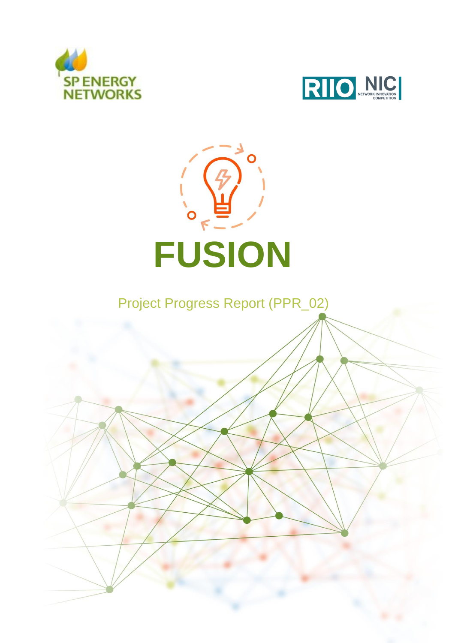





Project Progress Report (PPR\_02)

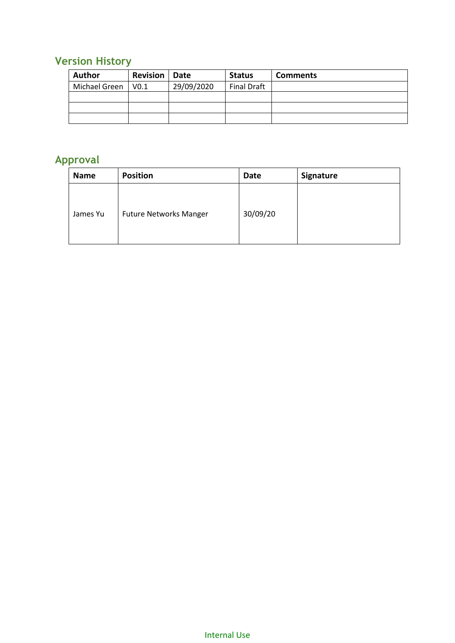### <span id="page-1-0"></span>**Version History**

| <b>Author</b> | <b>Revision</b>   Date |            | <b>Status</b> | <b>Comments</b> |
|---------------|------------------------|------------|---------------|-----------------|
| Michael Green | V <sub>0.1</sub>       | 29/09/2020 | Final Draft   |                 |
|               |                        |            |               |                 |
|               |                        |            |               |                 |
|               |                        |            |               |                 |

## <span id="page-1-1"></span>**Approval**

| <b>Name</b> | <b>Position</b>               | <b>Date</b> | Signature |
|-------------|-------------------------------|-------------|-----------|
| James Yu    | <b>Future Networks Manger</b> | 30/09/20    |           |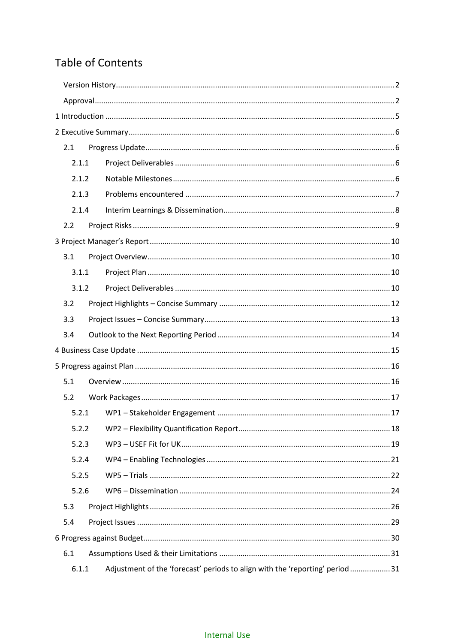### **Table of Contents**

| 2.1   |                                                                              |  |
|-------|------------------------------------------------------------------------------|--|
| 2.1.1 |                                                                              |  |
| 2.1.2 |                                                                              |  |
| 2.1.3 |                                                                              |  |
| 2.1.4 |                                                                              |  |
| 2.2   |                                                                              |  |
|       |                                                                              |  |
| 3.1   |                                                                              |  |
| 3.1.1 |                                                                              |  |
| 3.1.2 |                                                                              |  |
| 3.2   |                                                                              |  |
| 3.3   |                                                                              |  |
| 3.4   |                                                                              |  |
|       |                                                                              |  |
|       |                                                                              |  |
| 5.1   |                                                                              |  |
| 5.2   |                                                                              |  |
| 5.2.1 |                                                                              |  |
| 5.2.2 |                                                                              |  |
| 5.2.3 |                                                                              |  |
| 5.2.4 |                                                                              |  |
| 5.2.5 |                                                                              |  |
| 5.2.6 |                                                                              |  |
| 5.3   |                                                                              |  |
| 5.4   |                                                                              |  |
|       |                                                                              |  |
| 6.1   |                                                                              |  |
| 6.1.1 | Adjustment of the 'forecast' periods to align with the 'reporting' period 31 |  |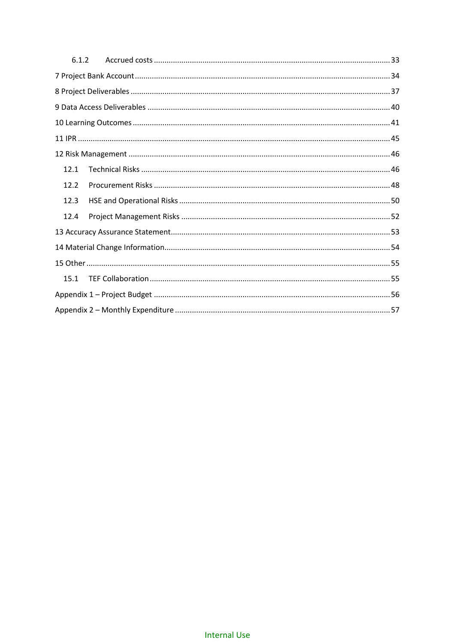| 6.1.2 |  |  |
|-------|--|--|
|       |  |  |
|       |  |  |
|       |  |  |
|       |  |  |
|       |  |  |
|       |  |  |
| 12.1  |  |  |
| 12.2  |  |  |
| 12.3  |  |  |
| 12.4  |  |  |
|       |  |  |
|       |  |  |
|       |  |  |
| 15.1  |  |  |
|       |  |  |
|       |  |  |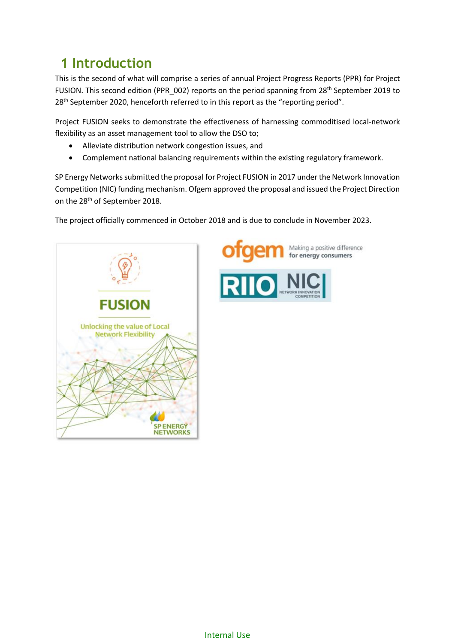## <span id="page-4-0"></span>**1 Introduction**

This is the second of what will comprise a series of annual Project Progress Reports (PPR) for Project FUSION. This second edition (PPR\_002) reports on the period spanning from 28<sup>th</sup> September 2019 to 28<sup>th</sup> September 2020, henceforth referred to in this report as the "reporting period".

Project FUSION seeks to demonstrate the effectiveness of harnessing commoditised local-network flexibility as an asset management tool to allow the DSO to;

- Alleviate distribution network congestion issues, and
- Complement national balancing requirements within the existing regulatory framework.

SP Energy Networks submitted the proposal for Project FUSION in 2017 under the Network Innovation Competition (NIC) funding mechanism. Ofgem approved the proposal and issued the Project Direction on the 28th of September 2018.

The project officially commenced in October 2018 and is due to conclude in November 2023.



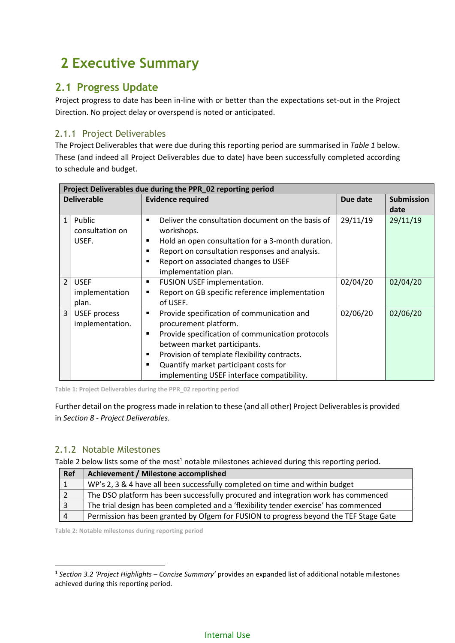# <span id="page-5-0"></span>**2 Executive Summary**

### <span id="page-5-1"></span>**2.1 Progress Update**

Project progress to date has been in-line with or better than the expectations set-out in the Project Direction. No project delay or overspend is noted or anticipated.

### <span id="page-5-2"></span>2.1.1 Project Deliverables

The Project Deliverables that were due during this reporting period are summarised in *[Table 1](#page-5-4)* below. These (and indeed all Project Deliverables due to date) have been successfully completed according to schedule and budget.

|                | Project Deliverables due during the PPR_02 reporting period |                                                                                                                                                                                                                                                                                                                            |          |                   |  |  |  |  |  |  |  |
|----------------|-------------------------------------------------------------|----------------------------------------------------------------------------------------------------------------------------------------------------------------------------------------------------------------------------------------------------------------------------------------------------------------------------|----------|-------------------|--|--|--|--|--|--|--|
|                | <b>Deliverable</b>                                          | <b>Evidence required</b>                                                                                                                                                                                                                                                                                                   | Due date | <b>Submission</b> |  |  |  |  |  |  |  |
|                |                                                             |                                                                                                                                                                                                                                                                                                                            |          | date              |  |  |  |  |  |  |  |
| $\mathbf{1}$   | Public<br>consultation on<br>USEF.                          | Deliver the consultation document on the basis of<br>$\blacksquare$<br>workshops.<br>Hold an open consultation for a 3-month duration.<br>٠<br>Report on consultation responses and analysis.<br>٠<br>Report on associated changes to USEF<br>$\blacksquare$<br>implementation plan.                                       | 29/11/19 | 29/11/19          |  |  |  |  |  |  |  |
| $\overline{2}$ | <b>USEF</b><br>implementation<br>plan.                      | FUSION USEF implementation.<br>٠<br>Report on GB specific reference implementation<br>٠<br>of USEF.                                                                                                                                                                                                                        | 02/04/20 | 02/04/20          |  |  |  |  |  |  |  |
| $\overline{3}$ | <b>USEF</b> process<br>implementation.                      | Provide specification of communication and<br>٠<br>procurement platform.<br>Provide specification of communication protocols<br>٠<br>between market participants.<br>Provision of template flexibility contracts.<br>$\blacksquare$<br>Quantify market participant costs for<br>implementing USEF interface compatibility. | 02/06/20 | 02/06/20          |  |  |  |  |  |  |  |

<span id="page-5-4"></span>**Table 1: Project Deliverables during the PPR\_02 reporting period**

Further detail on the progress made in relation to these (and all other) Project Deliverablesis provided in *Sectio[n 8](#page-36-0) - [Project Deliverables.](#page-36-0)*

#### <span id="page-5-3"></span>2.1.2 Notable Milestones

1

[Table 2](#page-5-5) below lists some of the most<sup>1</sup> notable milestones achieved during this reporting period.

| Ref | Achievement / Milestone accomplished                                                  |
|-----|---------------------------------------------------------------------------------------|
|     | WP's 2, 3 & 4 have all been successfully completed on time and within budget          |
|     | The DSO platform has been successfully procured and integration work has commenced    |
|     | The trial design has been completed and a 'flexibility tender exercise' has commenced |
|     | Permission has been granted by Ofgem for FUSION to progress beyond the TEF Stage Gate |

<span id="page-5-5"></span>**Table 2: Notable milestones during reporting period**

<sup>1</sup> *Sectio[n 3.2](#page-11-0) '[Project Highlights](#page-11-0) – Concise Summary'* provides an expanded list of additional notable milestones achieved during this reporting period.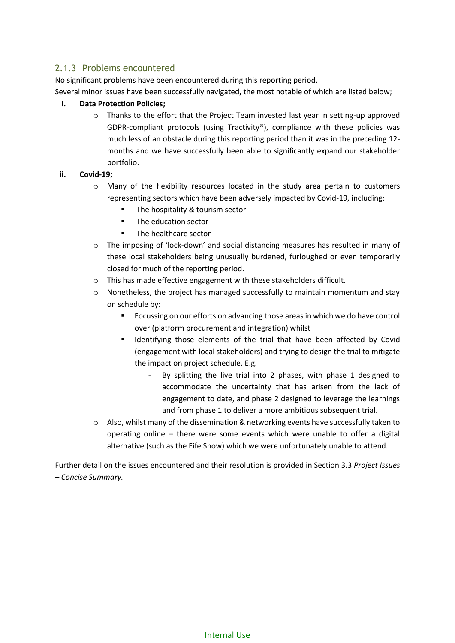### <span id="page-6-0"></span>2.1.3 Problems encountered

No significant problems have been encountered during this reporting period.

Several minor issues have been successfully navigated, the most notable of which are listed below;

#### **i. Data Protection Policies;**

o Thanks to the effort that the Project Team invested last year in setting-up approved GDPR-compliant protocols (using Tractivity®), compliance with these policies was much less of an obstacle during this reporting period than it was in the preceding 12 months and we have successfully been able to significantly expand our stakeholder portfolio.

#### **ii. Covid-19;**

- o Many of the flexibility resources located in the study area pertain to customers representing sectors which have been adversely impacted by Covid-19, including:
	- The hospitality & tourism sector
	- The education sector
	- The healthcare sector
- o The imposing of 'lock-down' and social distancing measures has resulted in many of these local stakeholders being unusually burdened, furloughed or even temporarily closed for much of the reporting period.
- o This has made effective engagement with these stakeholders difficult.
- $\circ$  Nonetheless, the project has managed successfully to maintain momentum and stay on schedule by:
	- Focussing on our efforts on advancing those areas in which we do have control over (platform procurement and integration) whilst
	- **■** Identifying those elements of the trial that have been affected by Covid (engagement with local stakeholders) and trying to design the trial to mitigate the impact on project schedule. E.g.
		- By splitting the live trial into 2 phases, with phase 1 designed to accommodate the uncertainty that has arisen from the lack of engagement to date, and phase 2 designed to leverage the learnings and from phase 1 to deliver a more ambitious subsequent trial.
- $\circ$  Also, whilst many of the dissemination & networking events have successfully taken to operating online – there were some events which were unable to offer a digital alternative (such as the Fife Show) which we were unfortunately unable to attend.

Further detail on the issues encountered and their resolution is provided in Sectio[n 3.3](#page-12-0) *[Project Issues](#page-12-0) – [Concise Summary.](#page-12-0)*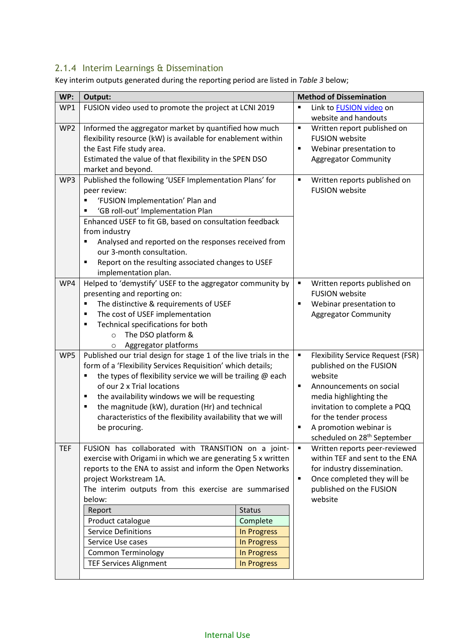### <span id="page-7-0"></span>2.1.4 Interim Learnings & Dissemination

Key interim outputs generated during the reporting period are listed in *[Table 3](#page-8-1)* below;

| WP:        | Output:                                                                                        |                |                         | <b>Method of Dissemination</b>                    |
|------------|------------------------------------------------------------------------------------------------|----------------|-------------------------|---------------------------------------------------|
| WP1        | FUSION video used to promote the project at LCNI 2019                                          | $\blacksquare$ | Link to FUSION video on |                                                   |
|            |                                                                                                |                |                         | website and handouts                              |
| WP2        | Informed the aggregator market by quantified how much                                          |                | $\blacksquare$          | Written report published on                       |
|            | flexibility resource (kW) is available for enablement within                                   |                |                         | <b>FUSION</b> website                             |
|            | the East Fife study area.                                                                      |                | $\blacksquare$          | Webinar presentation to                           |
|            | Estimated the value of that flexibility in the SPEN DSO                                        |                |                         | <b>Aggregator Community</b>                       |
|            | market and beyond.                                                                             |                |                         |                                                   |
| WP3        | Published the following 'USEF Implementation Plans' for                                        |                | $\blacksquare$          | Written reports published on                      |
|            | peer review:                                                                                   |                |                         | <b>FUSION website</b>                             |
|            | 'FUSION Implementation' Plan and                                                               |                |                         |                                                   |
|            | 'GB roll-out' Implementation Plan                                                              |                |                         |                                                   |
|            | Enhanced USEF to fit GB, based on consultation feedback                                        |                |                         |                                                   |
|            | from industry<br>Analysed and reported on the responses received from<br>Ξ                     |                |                         |                                                   |
|            | our 3-month consultation.                                                                      |                |                         |                                                   |
|            | Report on the resulting associated changes to USEF<br>п                                        |                |                         |                                                   |
|            | implementation plan.                                                                           |                |                         |                                                   |
| WP4        | Helped to 'demystify' USEF to the aggregator community by                                      |                | $\blacksquare$          | Written reports published on                      |
|            | presenting and reporting on:                                                                   |                |                         | <b>FUSION</b> website                             |
|            | The distinctive & requirements of USEF<br>٠                                                    |                | ٠                       | Webinar presentation to                           |
|            | The cost of USEF implementation<br>٠                                                           |                |                         | <b>Aggregator Community</b>                       |
|            | Technical specifications for both<br>п                                                         |                |                         |                                                   |
|            | The DSO platform &<br>$\circ$                                                                  |                |                         |                                                   |
|            | Aggregator platforms<br>$\circ$                                                                |                |                         |                                                   |
| WP5        | Published our trial design for stage 1 of the live trials in the                               |                | Ξ                       | <b>Flexibility Service Request (FSR)</b>          |
|            | form of a 'Flexibility Services Requisition' which details;                                    |                |                         | published on the FUSION                           |
|            | the types of flexibility service we will be trailing @ each<br>П<br>of our 2 x Trial locations |                | $\blacksquare$          | website                                           |
|            | the availability windows we will be requesting<br>п                                            |                |                         | Announcements on social<br>media highlighting the |
|            | the magnitude (kW), duration (Hr) and technical<br>٠                                           |                |                         | invitation to complete a PQQ                      |
|            | characteristics of the flexibility availability that we will                                   |                |                         | for the tender process                            |
|            | be procuring.                                                                                  |                |                         | A promotion webinar is                            |
|            |                                                                                                |                |                         | scheduled on 28 <sup>th</sup> September           |
| <b>TEF</b> | FUSION has collaborated with TRANSITION on a joint-                                            |                | $\blacksquare$          | Written reports peer-reviewed                     |
|            | exercise with Origami in which we are generating 5 x written                                   |                |                         | within TEF and sent to the ENA                    |
|            | reports to the ENA to assist and inform the Open Networks                                      |                |                         | for industry dissemination.                       |
|            | project Workstream 1A.                                                                         |                | $\blacksquare$          | Once completed they will be                       |
|            | The interim outputs from this exercise are summarised                                          |                |                         | published on the FUSION                           |
|            | below:                                                                                         |                |                         | website                                           |
|            | Report                                                                                         | <b>Status</b>  |                         |                                                   |
|            | Product catalogue                                                                              | Complete       |                         |                                                   |
|            | <b>Service Definitions</b>                                                                     | In Progress    |                         |                                                   |
|            | Service Use cases                                                                              | In Progress    |                         |                                                   |
|            | <b>Common Terminology</b>                                                                      | In Progress    |                         |                                                   |
|            | <b>TEF Services Alignment</b>                                                                  | In Progress    |                         |                                                   |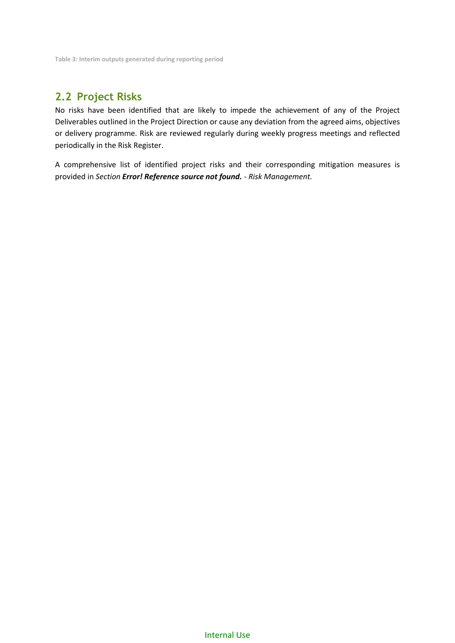<span id="page-8-1"></span>**Table 3: Interim outputs generated during reporting period**

### <span id="page-8-0"></span>**2.2 Project Risks**

No risks have been identified that are likely to impede the achievement of any of the Project Deliverables outlined in the Project Direction or cause any deviation from the agreed aims, objectives or delivery programme. Risk are reviewed regularly during weekly progress meetings and reflected periodically in the Risk Register.

A comprehensive list of identified project risks and their corresponding mitigation measures is provided in *Section Error! Reference source not found. - [Risk Management.](#page-45-0)*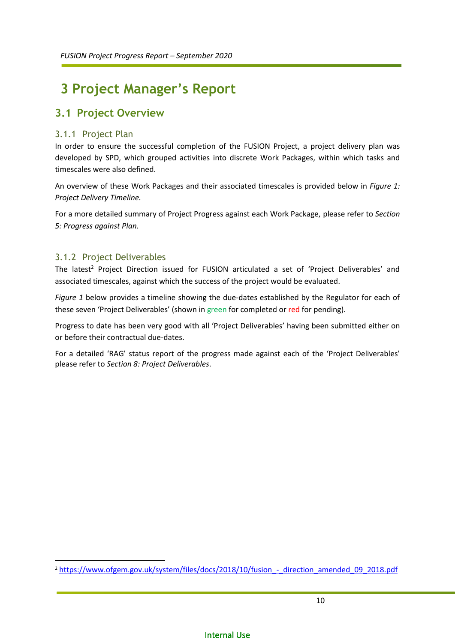# <span id="page-9-0"></span>**3 Project Manager's Report**

### <span id="page-9-1"></span>**3.1 Project Overview**

### <span id="page-9-2"></span>3.1.1 Project Plan

In order to ensure the successful completion of the FUSION Project, a project delivery plan was developed by SPD, which grouped activities into discrete Work Packages, within which tasks and timescales were also defined.

An overview of these Work Packages and their associated timescales is provided below in *[Figure 1:](#page-10-0) [Project Delivery Timeline.](#page-10-1)*

For a more detailed summary of Project Progress against each Work Package, please refer to *Section [5: Progress against Plan.](#page-15-0)*

### <span id="page-9-3"></span>3.1.2 Project Deliverables

**.** 

The latest<sup>2</sup> Project Direction issued for FUSION articulated a set of 'Project Deliverables' and associated timescales, against which the success of the project would be evaluated.

*[Figure 1](#page-10-0)* below provides a timeline showing the due-dates established by the Regulator for each of these seven 'Project Deliverables' (shown in green for completed or red for pending).

Progress to date has been very good with all 'Project Deliverables' having been submitted either on or before their contractual due-dates.

For a detailed 'RAG' status report of the progress made against each of the 'Project Deliverables' please refer to *Sectio[n 8: Project Deliverables](#page-36-0)*.

<sup>&</sup>lt;sup>2</sup> https://www.ofgem.gov.uk/system/files/docs/2018/10/fusion - direction amended 09 2018.pdf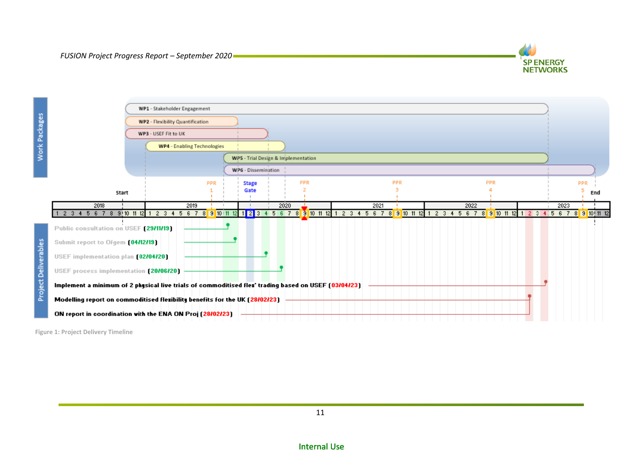

|                                                                                                                                                                                                                                  | WP1 - Stakeholder Engagement |            |  |                     |      |                                     |  |  |      |            |  |  |      |     |  |  |      |     |     |  |
|----------------------------------------------------------------------------------------------------------------------------------------------------------------------------------------------------------------------------------|------------------------------|------------|--|---------------------|------|-------------------------------------|--|--|------|------------|--|--|------|-----|--|--|------|-----|-----|--|
| WP2 - Flexibility Quantification                                                                                                                                                                                                 |                              |            |  |                     |      |                                     |  |  |      |            |  |  |      |     |  |  |      |     |     |  |
|                                                                                                                                                                                                                                  | WP3 - USEF Fit to UK         |            |  |                     |      |                                     |  |  |      |            |  |  |      |     |  |  |      |     |     |  |
|                                                                                                                                                                                                                                  | WP4 - Enabling Technologies  |            |  |                     |      |                                     |  |  |      |            |  |  |      |     |  |  |      |     |     |  |
|                                                                                                                                                                                                                                  |                              |            |  |                     |      | WP5 - Trial Design & Implementation |  |  |      |            |  |  |      |     |  |  |      |     |     |  |
|                                                                                                                                                                                                                                  |                              |            |  | WP6 - Dissemination |      |                                     |  |  |      |            |  |  |      |     |  |  |      |     |     |  |
|                                                                                                                                                                                                                                  |                              | <b>PPR</b> |  | <b>Stage</b>        |      | PPR                                 |  |  |      | <b>PPR</b> |  |  |      | PPR |  |  |      | PPR |     |  |
| Start                                                                                                                                                                                                                            |                              |            |  | Gate                |      |                                     |  |  |      |            |  |  |      |     |  |  |      |     | End |  |
| 2018                                                                                                                                                                                                                             | 2019                         |            |  |                     | 2020 |                                     |  |  | 2021 |            |  |  | 2022 |     |  |  | 2023 |     |     |  |
| 2 3 4 5 6 7 8 9 10 11 12 1 2 3 4 5 6 7 8 <mark>9 10 11 12 1 2</mark> 3 4 5 6 7 8 <mark>9 10 11 12</mark> 1 2 3 4 5 6 7 8 <mark>9 10 11 12</mark> 1 2 3 4 5 6 7 8 <mark>9 10 11 12</mark> 1 2 3 4 5 6 7 8 <mark>9 10 11 12</mark> |                              |            |  |                     |      |                                     |  |  |      |            |  |  |      |     |  |  |      |     |     |  |
| Public consultation on USEF [29/11/19]                                                                                                                                                                                           |                              |            |  |                     |      |                                     |  |  |      |            |  |  |      |     |  |  |      |     |     |  |
| Submit report to Ofgem [04/12/19]                                                                                                                                                                                                |                              |            |  |                     |      |                                     |  |  |      |            |  |  |      |     |  |  |      |     |     |  |
| USEF implementation plan (02/04/20)                                                                                                                                                                                              |                              |            |  |                     |      |                                     |  |  |      |            |  |  |      |     |  |  |      |     |     |  |
| USEF process implementation (20/06/20)                                                                                                                                                                                           |                              |            |  |                     |      |                                     |  |  |      |            |  |  |      |     |  |  |      |     |     |  |
| Implement a minimum of 2 physical live trials of commoditised flex' trading based on USEF (03/04/23)                                                                                                                             |                              |            |  |                     |      |                                     |  |  |      |            |  |  |      |     |  |  |      |     |     |  |
| Modelling report on commoditised flexibility benefits for the UK (28/02/23)                                                                                                                                                      |                              |            |  |                     |      |                                     |  |  |      |            |  |  |      |     |  |  |      |     |     |  |
|                                                                                                                                                                                                                                  |                              |            |  |                     |      |                                     |  |  |      |            |  |  |      |     |  |  |      |     |     |  |

<span id="page-10-1"></span><span id="page-10-0"></span>**Figure 1: Project Delivery Timeline**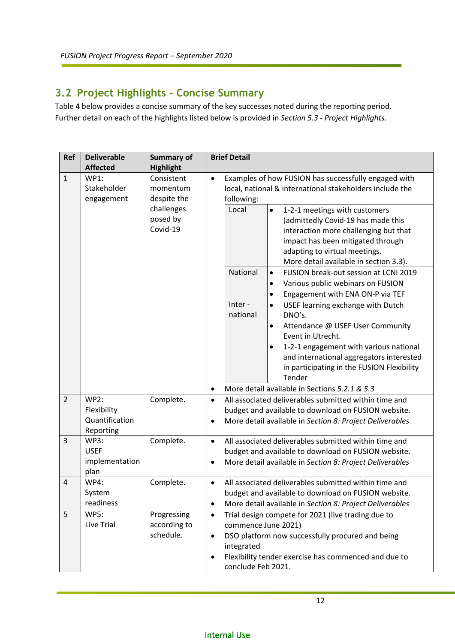### <span id="page-11-1"></span><span id="page-11-0"></span>**3.2 Project Highlights – Concise Summary**

[Table 4](#page-12-1) below provides a concise summary of the key successes noted during the reporting period. Further detail on each of the highlights listed below is provided in *Sectio[n 5.3](#page-25-0) - [Project Highlights.](#page-25-0)*

| Ref            | <b>Deliverable</b><br><b>Affected</b>                | <b>Summary of</b><br><b>Highlight</b>                                       | <b>Brief Detail</b>                                                                                                                                                                                                                                                                                                    |  |  |  |  |  |  |  |
|----------------|------------------------------------------------------|-----------------------------------------------------------------------------|------------------------------------------------------------------------------------------------------------------------------------------------------------------------------------------------------------------------------------------------------------------------------------------------------------------------|--|--|--|--|--|--|--|
| $\mathbf{1}$   | <b>WP1:</b><br>Stakeholder<br>engagement             | Consistent<br>momentum<br>despite the<br>challenges<br>posed by<br>Covid-19 | Examples of how FUSION has successfully engaged with<br>$\bullet$<br>local, national & international stakeholders include the<br>following:<br>Local<br>1-2-1 meetings with customers<br>$\bullet$<br>(admittedly Covid-19 has made this<br>interaction more challenging but that<br>impact has been mitigated through |  |  |  |  |  |  |  |
|                |                                                      |                                                                             | adapting to virtual meetings.<br>More detail available in section 3.3).                                                                                                                                                                                                                                                |  |  |  |  |  |  |  |
|                |                                                      |                                                                             | National<br>FUSION break-out session at LCNI 2019<br>$\bullet$<br>Various public webinars on FUSION<br>$\bullet$<br>Engagement with ENA ON-P via TEF<br>$\bullet$                                                                                                                                                      |  |  |  |  |  |  |  |
|                |                                                      |                                                                             | Inter-<br>USEF learning exchange with Dutch<br>$\bullet$<br>national<br>DNO's.<br>Attendance @ USEF User Community<br>$\bullet$<br>Event in Utrecht.<br>1-2-1 engagement with various national<br>$\bullet$                                                                                                            |  |  |  |  |  |  |  |
|                |                                                      |                                                                             | and international aggregators interested<br>in participating in the FUSION Flexibility<br>Tender                                                                                                                                                                                                                       |  |  |  |  |  |  |  |
|                |                                                      |                                                                             | More detail available in Sections 5.2.1 & 5.3                                                                                                                                                                                                                                                                          |  |  |  |  |  |  |  |
| $\overline{2}$ | WP2:<br>Flexibility<br>Quantification<br>Reporting   | Complete.                                                                   | All associated deliverables submitted within time and<br>$\bullet$<br>budget and available to download on FUSION website.<br>More detail available in Section 8: Project Deliverables                                                                                                                                  |  |  |  |  |  |  |  |
| $\mathbf{3}$   | <b>WP3:</b><br><b>USEF</b><br>implementation<br>plan | Complete.                                                                   | All associated deliverables submitted within time and<br>$\bullet$<br>budget and available to download on FUSION website.<br>More detail available in Section 8: Project Deliverables                                                                                                                                  |  |  |  |  |  |  |  |
| 4              | <b>WP4:</b><br>System<br>readiness                   | Complete.                                                                   | All associated deliverables submitted within time and<br>budget and available to download on FUSION website.<br>More detail available in Section 8: Project Deliverables<br>$\bullet$                                                                                                                                  |  |  |  |  |  |  |  |
| 5              | <b>WP5:</b><br>Live Trial                            | Progressing<br>according to<br>schedule.                                    | Trial design compete for 2021 (live trading due to<br>$\bullet$<br>commence June 2021)<br>DSO platform now successfully procured and being<br>$\bullet$<br>integrated<br>Flexibility tender exercise has commenced and due to<br>$\bullet$<br>conclude Feb 2021.                                                       |  |  |  |  |  |  |  |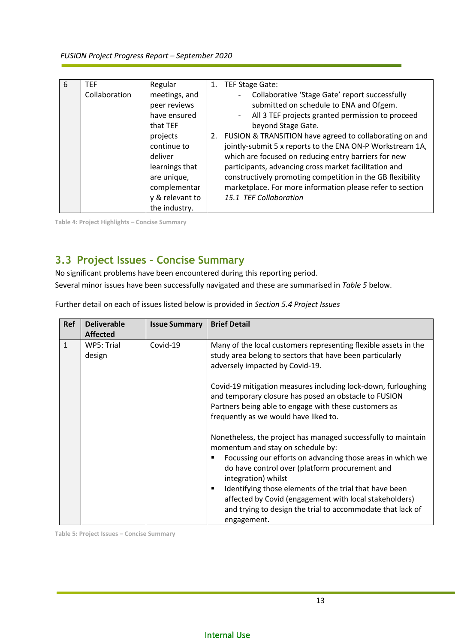<span id="page-12-4"></span>

| 6 | <b>TEF</b><br>Collaboration | Regular<br>meetings, and<br>peer reviews<br>have ensured<br>that TEF<br>projects<br>continue to<br>deliver<br>learnings that<br>are unique,<br>complementar<br>y & relevant to | 1. | TEF Stage Gate:<br>Collaborative 'Stage Gate' report successfully<br>submitted on schedule to ENA and Ofgem.<br>All 3 TEF projects granted permission to proceed<br>$\overline{a}$<br>beyond Stage Gate.<br>2. FUSION & TRANSITION have agreed to collaborating on and<br>jointly-submit 5 x reports to the ENA ON-P Workstream 1A,<br>which are focused on reducing entry barriers for new<br>participants, advancing cross market facilitation and<br>constructively promoting competition in the GB flexibility<br>marketplace. For more information please refer to section<br>15.1 TEF Collaboration |
|---|-----------------------------|--------------------------------------------------------------------------------------------------------------------------------------------------------------------------------|----|-----------------------------------------------------------------------------------------------------------------------------------------------------------------------------------------------------------------------------------------------------------------------------------------------------------------------------------------------------------------------------------------------------------------------------------------------------------------------------------------------------------------------------------------------------------------------------------------------------------|
|   |                             | the industry.                                                                                                                                                                  |    |                                                                                                                                                                                                                                                                                                                                                                                                                                                                                                                                                                                                           |

<span id="page-12-3"></span><span id="page-12-1"></span>**Table 4: Project Highlights – Concise Summary**

### <span id="page-12-0"></span>**3.3 Project Issues – Concise Summary**

No significant problems have been encountered during this reporting period. Several minor issues have been successfully navigated and these are summarised in *[Table 5](#page-12-2)* below.

Further detail on each of issues listed below is provided in *Section [5.4](#page-28-0) [Project Issues](#page-28-0)*

| <b>Ref</b>   | <b>Deliverable</b><br><b>Affected</b> | <b>Issue Summary</b> | <b>Brief Detail</b>                                                                                                                                                                                                                                                                                                                                                                                                                        |
|--------------|---------------------------------------|----------------------|--------------------------------------------------------------------------------------------------------------------------------------------------------------------------------------------------------------------------------------------------------------------------------------------------------------------------------------------------------------------------------------------------------------------------------------------|
| $\mathbf{1}$ | WP5: Trial<br>design                  | Covid-19             | Many of the local customers representing flexible assets in the<br>study area belong to sectors that have been particularly<br>adversely impacted by Covid-19.                                                                                                                                                                                                                                                                             |
|              |                                       |                      | Covid-19 mitigation measures including lock-down, furloughing<br>and temporary closure has posed an obstacle to FUSION<br>Partners being able to engage with these customers as<br>frequently as we would have liked to.                                                                                                                                                                                                                   |
|              |                                       |                      | Nonetheless, the project has managed successfully to maintain<br>momentum and stay on schedule by:<br>Focussing our efforts on advancing those areas in which we<br>do have control over (platform procurement and<br>integration) whilst<br>Identifying those elements of the trial that have been<br>affected by Covid (engagement with local stakeholders)<br>and trying to design the trial to accommodate that lack of<br>engagement. |

<span id="page-12-2"></span>**Table 5: Project Issues – Concise Summary**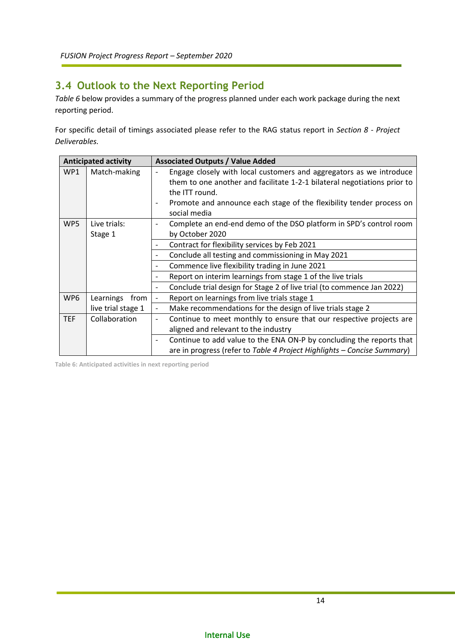### <span id="page-13-0"></span>**3.4 Outlook to the Next Reporting Period**

*[Table 6](#page-13-1)* below provides a summary of the progress planned under each work package during the next reporting period.

For specific detail of timings associated please refer to the RAG status report in *Section [8](#page-36-0) - [Project](#page-36-0)  [Deliverables.](#page-36-0)*

|            | <b>Anticipated activity</b> |                                     | <b>Associated Outputs / Value Added</b>                                                                                                                                                                                                                   |
|------------|-----------------------------|-------------------------------------|-----------------------------------------------------------------------------------------------------------------------------------------------------------------------------------------------------------------------------------------------------------|
| WP1        | Match-making                | $\overline{a}$<br>$\qquad \qquad -$ | Engage closely with local customers and aggregators as we introduce<br>them to one another and facilitate 1-2-1 bilateral negotiations prior to<br>the ITT round.<br>Promote and announce each stage of the flexibility tender process on<br>social media |
| WP5        | Live trials:<br>Stage 1     | $\overline{a}$                      | Complete an end-end demo of the DSO platform in SPD's control room<br>by October 2020                                                                                                                                                                     |
|            |                             | -                                   | Contract for flexibility services by Feb 2021                                                                                                                                                                                                             |
|            |                             | -                                   | Conclude all testing and commissioning in May 2021                                                                                                                                                                                                        |
|            |                             | -                                   | Commence live flexibility trading in June 2021                                                                                                                                                                                                            |
|            |                             | -                                   | Report on interim learnings from stage 1 of the live trials                                                                                                                                                                                               |
|            |                             | -                                   | Conclude trial design for Stage 2 of live trial (to commence Jan 2022)                                                                                                                                                                                    |
| WP6        | Learnings from              | $\qquad \qquad \blacksquare$        | Report on learnings from live trials stage 1                                                                                                                                                                                                              |
|            | live trial stage 1          | $\qquad \qquad \blacksquare$        | Make recommendations for the design of live trials stage 2                                                                                                                                                                                                |
| <b>TEF</b> | Collaboration               | $\overline{\phantom{a}}$            | Continue to meet monthly to ensure that our respective projects are<br>aligned and relevant to the industry                                                                                                                                               |
|            |                             | -                                   | Continue to add value to the ENA ON-P by concluding the reports that<br>are in progress (refer to Table 4 Project Highlights - Concise Summary)                                                                                                           |

<span id="page-13-1"></span>**Table 6: Anticipated activities in next reporting period**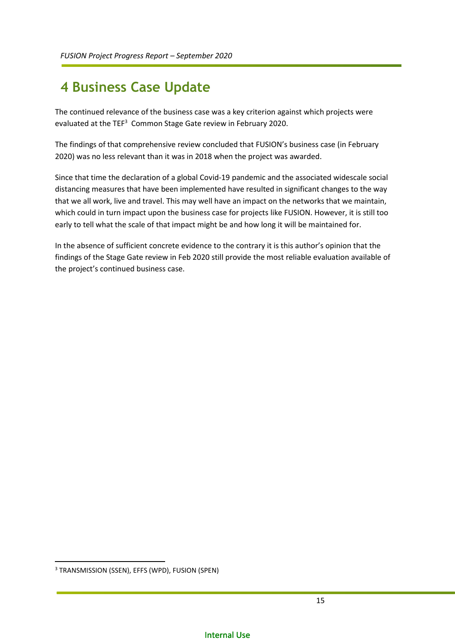## <span id="page-14-0"></span>**4 Business Case Update**

The continued relevance of the business case was a key criterion against which projects were evaluated at the TEF<sup>3</sup> Common Stage Gate review in February 2020.

The findings of that comprehensive review concluded that FUSION's business case (in February 2020) was no less relevant than it was in 2018 when the project was awarded.

Since that time the declaration of a global Covid-19 pandemic and the associated widescale social distancing measures that have been implemented have resulted in significant changes to the way that we all work, live and travel. This may well have an impact on the networks that we maintain, which could in turn impact upon the business case for projects like FUSION. However, it is still too early to tell what the scale of that impact might be and how long it will be maintained for.

In the absence of sufficient concrete evidence to the contrary it is this author's opinion that the findings of the Stage Gate review in Feb 2020 still provide the most reliable evaluation available of the project's continued business case.

1

<sup>3</sup> TRANSMISSION (SSEN), EFFS (WPD), FUSION (SPEN)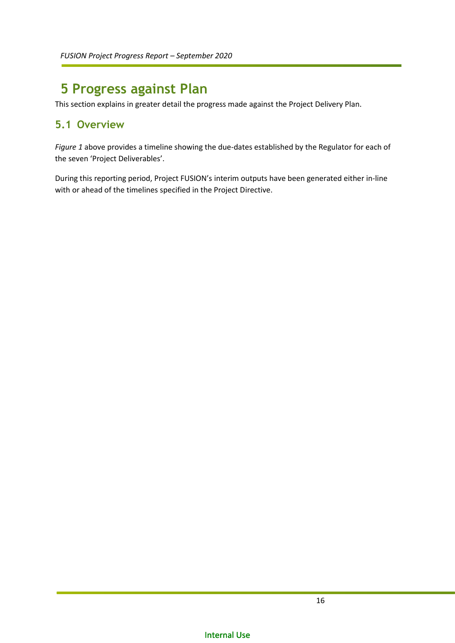## <span id="page-15-0"></span>**5 Progress against Plan**

This section explains in greater detail the progress made against the Project Delivery Plan.

### <span id="page-15-1"></span>**5.1 Overview**

*[Figure 1](#page-10-0)* above provides a timeline showing the due-dates established by the Regulator for each of the seven 'Project Deliverables'.

During this reporting period, Project FUSION's interim outputs have been generated either in-line with or ahead of the timelines specified in the Project Directive.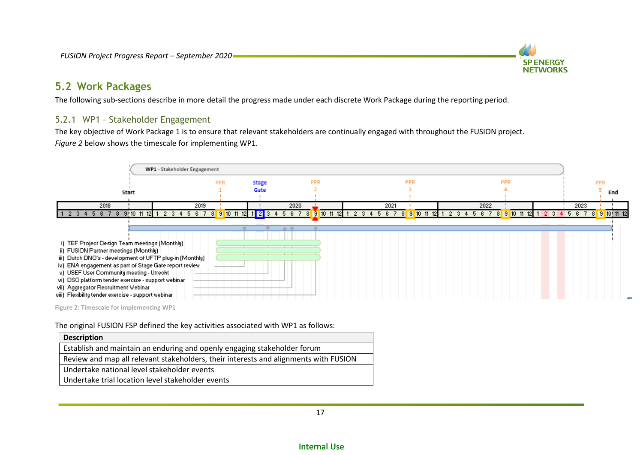

### **5.2 Work Packages**

The following sub-sections describe in more detail the progress made under each discrete Work Package during the reporting period.

### 5.2.1 WP1 – Stakeholder Engagement

The key objective of Work Package 1 is to ensure that relevant stakeholders are continually engaged with throughout the FUSION project. *[Figure 2](#page-16-2)* below shows the timescale for implementing WP1.



<span id="page-16-2"></span><span id="page-16-1"></span><span id="page-16-0"></span>**Figure 2: Timescale for implementing WP1**

The original FUSION FSP defined the key activities associated with WP1 as follows:

| <b>Description</b>                                                                   |
|--------------------------------------------------------------------------------------|
| Establish and maintain an enduring and openly engaging stakeholder forum             |
| Review and map all relevant stakeholders, their interests and alignments with FUSION |
| Undertake national level stakeholder events                                          |
| Undertake trial location level stakeholder events                                    |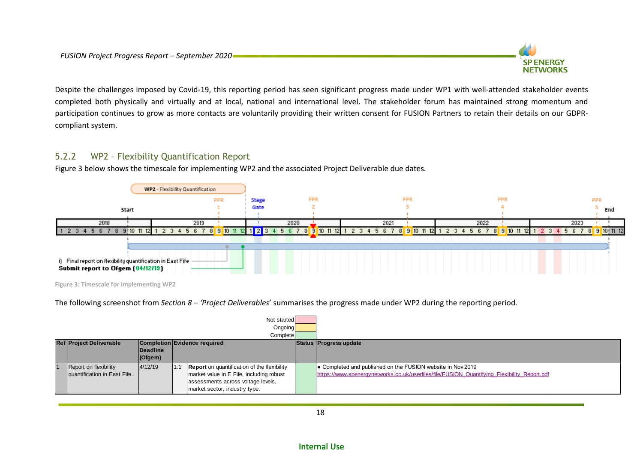

Despite the challenges imposed by Covid-19, this reporting period has seen significant progress made under WP1 with well-attended stakeholder events completed both physically and virtually and at local, national and international level. The stakeholder forum has maintained strong momentum and participation continues to grow as more contacts are voluntarily providing their written consent for FUSION Partners to retain their details on our GDPRcompliant system.

### 5.2.2 WP2 – Flexibility Quantification Report

[Figure 3](#page-17-1) below shows the timescale for implementing WP2 and the associated Project Deliverable due dates.



<span id="page-17-1"></span>**Figure 3: Timescale for implementing WP2**

The following screenshot from *Sectio[n 8](#page-36-1) – '[Project Deliverables](#page-36-1)*' summarises the progress made under WP2 during the reporting period.

<span id="page-17-0"></span>

|                                                                |                              |                         |      | Not started<br>Ongoing<br><b>Complete</b>          |  |                                                                                             |
|----------------------------------------------------------------|------------------------------|-------------------------|------|----------------------------------------------------|--|---------------------------------------------------------------------------------------------|
| <b>Ref Project Deliverable</b><br>Completion Evidence required |                              |                         |      |                                                    |  | Status Progress update                                                                      |
|                                                                |                              | Deadline<br>$ $ (Ofgem) |      |                                                    |  |                                                                                             |
|                                                                |                              |                         |      |                                                    |  |                                                                                             |
|                                                                | Report on flexibility        | 4/12/19                 | 11.1 | <b>Report</b> on quantification of the flexibility |  | ● Completed and published on the FUSION website in Nov 2019                                 |
|                                                                | quantification in East Fife. |                         |      | market value in E Fife, including robust           |  | https://www.spenergynetworks.co.uk/userfiles/file/FUSION Quantifying Flexibility Report.pdf |
|                                                                |                              |                         |      | assessments across voltage levels,                 |  |                                                                                             |
|                                                                |                              |                         |      | market sector, industry type.                      |  |                                                                                             |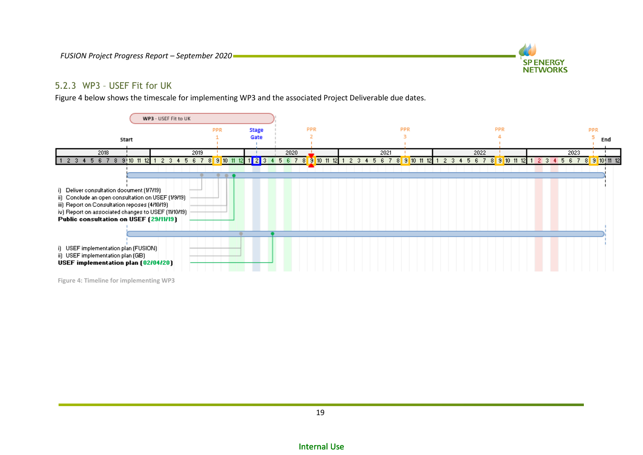

#### 5.2.3 WP3 – USEF Fit for UK

[Figure 4](#page-18-1) below shows the timescale for implementing WP3 and the associated Project Deliverable due dates.



<span id="page-18-1"></span><span id="page-18-0"></span>**Figure 4: Timeline for implementing WP3**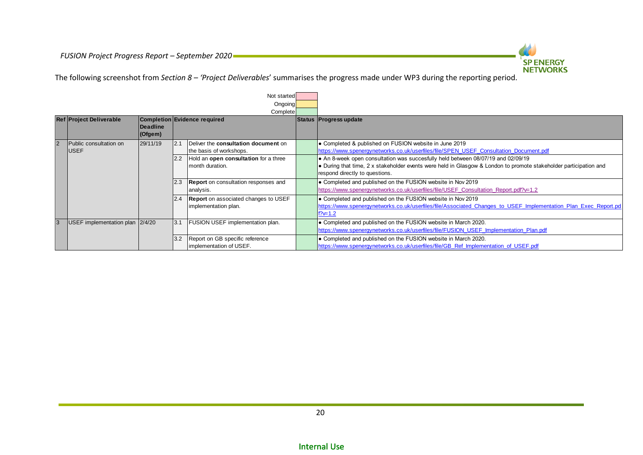

The following screenshot from *Sectio[n 8](#page-36-1) – '[Project Deliverables](#page-36-1)*' summarises the progress made under WP3 during the reporting period.

|                |                                       |                     |      | Not started<br>Ongoing<br>Complete                                  |                                                                                                                                                                                                                                         |
|----------------|---------------------------------------|---------------------|------|---------------------------------------------------------------------|-----------------------------------------------------------------------------------------------------------------------------------------------------------------------------------------------------------------------------------------|
|                | <b>Ref Project Deliverable</b>        | Deadline<br>(Ofgem) |      | <b>Completion Evidence required</b>                                 | Status   Progress update                                                                                                                                                                                                                |
| $\overline{2}$ | Public consultation on<br><b>USEF</b> | 29/11/19            | 12.1 | Deliver the consultation document on<br>the basis of workshops.     | • Completed & published on FUSION website in June 2019<br>https://www.spenergynetworks.co.uk/userfiles/file/SPEN USEF Consultation Document.pdf                                                                                         |
|                |                                       |                     | 2.2  | Hold an open consultation for a three<br>Imonth duration.           | • An 8-week open consultation was succesfully held between 08/07/19 and 02/09/19<br>• During that time, 2 x stakeholder events were held in Glasgow & London to promote stakeholder participation and<br>respond directly to questions. |
|                |                                       |                     | 2.3  | <b>Report</b> on consultation responses and<br>analysis.            | • Completed and published on the FUSION website in Nov 2019<br>https://www.spenergynetworks.co.uk/userfiles/file/USEF Consultation Report.pdf?v=1.2                                                                                     |
|                |                                       |                     | 2.4  | <b>Report</b> on associated changes to USEF<br>implementation plan. | • Completed and published on the FUSION website in Nov 2019<br>https://www.spenergynetworks.co.uk/userfiles/file/Associated Changes to USEF Implementation Plan Exec Report.pd<br>$f$ ? $\rightleftharpoons$ 1.2                        |
| 3              | USEF implementation plan $ 2/4/20$    |                     | 3.1  | <b>FUSION USEF implementation plan.</b>                             | • Completed and published on the FUSION website in March 2020.<br>https://www.spenergynetworks.co.uk/userfiles/file/FUSION USEF Implementation Plan.pdf                                                                                 |
|                |                                       |                     | 3.2  | Report on GB specific reference<br>implementation of USEF.          | • Completed and published on the FUSION website in March 2020.<br>https://www.spenergynetworks.co.uk/userfiles/file/GB Ref Implementation of USEF.pdf                                                                                   |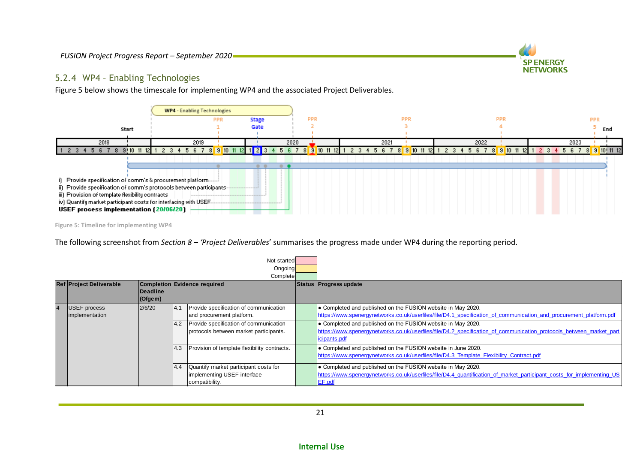

[Figure 5](#page-20-1) below shows the timescale for implementing WP4 and the associated Project Deliverables.



**SP ENERGY NETWORKS** 

<span id="page-20-1"></span>**Figure 5: Timeline for implementing WP4**

The following screenshot from *Sectio[n 8](#page-36-1) – '[Project Deliverables](#page-36-1)*' summarises the progress made under WP4 during the reporting period.

<span id="page-20-0"></span>

|                                       |                             |            | Not started<br>Ongoing<br>Complete                                                     |                                                                                                                                                                                                        |
|---------------------------------------|-----------------------------|------------|----------------------------------------------------------------------------------------|--------------------------------------------------------------------------------------------------------------------------------------------------------------------------------------------------------|
| <b>Ref Project Deliverable</b>        | <b>IDeadline</b><br>(Ofgem) |            | Completion Evidence required                                                           | Status Progress update                                                                                                                                                                                 |
| <b>USEF</b> process<br>implementation | 2/6/20                      | 14.1       | Provide specification of communication<br>and procurement platform.                    | • Completed and published on the FUSION website in May 2020.<br>https://www.spenergynetworks.co.uk/userfiles/file/D4.1 specification of communication and procurement platform.pdf                     |
|                                       |                             | 4.2        | Provide specification of communication<br>protocols between market participants.       | O Completed and published on the FUSION website in May 2020.<br>https://www.spenergynetworks.co.uk/userfiles/file/D4.2 specification of communication protocols between market part<br>icipants.pdf    |
|                                       |                             | <b>4.3</b> | Provision of template flexibility contracts.                                           | • Completed and published on the FUSION website in June 2020.<br>https://www.spenergynetworks.co.uk/userfiles/file/D4.3 Template Flexibility Contract.pdf                                              |
|                                       |                             | 4.4        | Quantify market participant costs for<br>implementing USEF interface<br>compatibility. | <b>• Completed and published on the FUSION website in May 2020.</b><br>https://www.spenergynetworks.co.uk/userfiles/file/D4.4 quantification of market participant costs for implementing US<br>EF.pdf |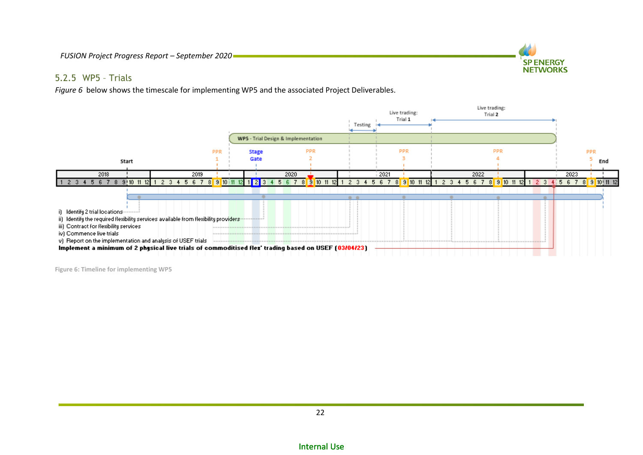

#### 5.2.5 WP5 – Trials

*[Figure 6](#page-21-1)* below shows the timescale for implementing WP5 and the associated Project Deliverables.



<span id="page-21-1"></span><span id="page-21-0"></span>**Figure 6: Timeline for implementing WP5**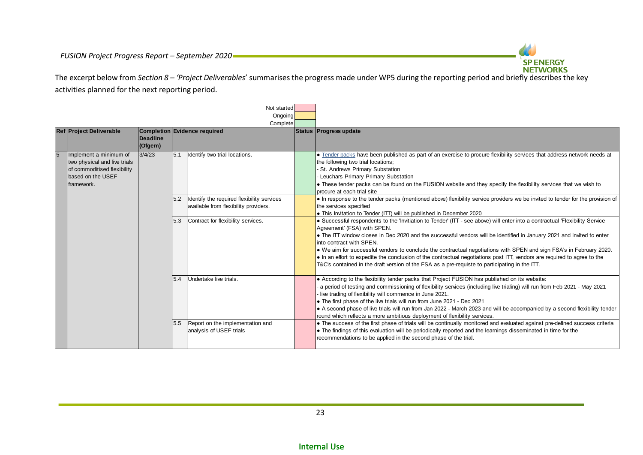

The excerpt below from *Section [8](#page-36-1) – '[Project Deliverables](#page-36-1)*' summarises the progress made under WP5 during the reporting period and briefly describes the key activities planned for the next reporting period.

|                |                                                                                                                          |                                                            |            | Not started<br>Ongoing<br>Complete                                                  |  |                                                                                                                                                                                                                                                                                                                                                                                                                                                                                                                                                                                                                                                                      |
|----------------|--------------------------------------------------------------------------------------------------------------------------|------------------------------------------------------------|------------|-------------------------------------------------------------------------------------|--|----------------------------------------------------------------------------------------------------------------------------------------------------------------------------------------------------------------------------------------------------------------------------------------------------------------------------------------------------------------------------------------------------------------------------------------------------------------------------------------------------------------------------------------------------------------------------------------------------------------------------------------------------------------------|
|                | <b>Ref Project Deliverable</b>                                                                                           | Completion Evidence required<br><b>Deadline</b><br>(Ofgem) |            |                                                                                     |  | Status Progress update                                                                                                                                                                                                                                                                                                                                                                                                                                                                                                                                                                                                                                               |
| $\overline{5}$ | Implement a minimum of<br>two physical and live trials<br>of commoditised flexibility<br>based on the USEF<br>framework. | 3/4/23                                                     | 5.1<br>5.2 | Identify two trial locations.                                                       |  | • Tender packs have been published as part of an exercise to procure flexibility services that address network needs at<br>the following two trial locations;<br>St. Andrews Primary Substation<br>Leuchars Primary Primary Substation<br>• These tender packs can be found on the FUSION website and they specify the flexibility services that we wish to<br>procure at each trial site                                                                                                                                                                                                                                                                            |
|                |                                                                                                                          |                                                            |            | Identify the required flexibility services<br>available from flexibility providers. |  | . In response to the tender packs (mentioned above) flexibility service providers we be invited to tender for the provision of<br>the services specified<br>• This Invitation to Tender (ITT) will be published in December 2020                                                                                                                                                                                                                                                                                                                                                                                                                                     |
|                |                                                                                                                          |                                                            | 5.3        | Contract for flexibility services.                                                  |  | • Successful respondents to the 'Invitiation to Tender' (ITT - see above) will enter into a contractual 'Flexibility Service<br>Agreement' (FSA) with SPEN.<br>• The ITT window closes in Dec 2020 and the successful vendors will be identified in January 2021 and invited to enter<br>into contract with SPEN.<br>• We aim for successful vendors to conclude the contractual negotiations with SPEN and sign FSA's in February 2020.<br>In an effort to expedite the conclusion of the contractual negotiations post ITT, vendors are required to agree to the<br>T&C's contained in the draft version of the FSA as a pre-requiste to participating in the ITT. |
|                |                                                                                                                          |                                                            | 5.4        | Undertake live trials.                                                              |  | • According to the flexibility tender packs that Project FUSION has published on its website:<br>a period of testing and commissioning of flexibility services (including live trialing) will run from Feb 2021 - May 2021<br>live trading of flexibility will commence in June 2021.<br>. The first phase of the live trials will run from June 2021 - Dec 2021<br>A second phase of live trials will run from Jan 2022 - March 2023 and will be accompanied by a second flexibility tender<br>round which reflects a more ambitious deployment of flexibility services.                                                                                            |
|                |                                                                                                                          |                                                            | 5.5        | Report on the implementation and<br>analysis of USEF trials                         |  | . The success of the first phase of trials will be continually monitored and evaluated against pre-defined success criteria<br>• The findings of this evaluation will be periodically reported and the learnings disseminated in time for the<br>recommendations to be applied in the second phase of the trial.                                                                                                                                                                                                                                                                                                                                                     |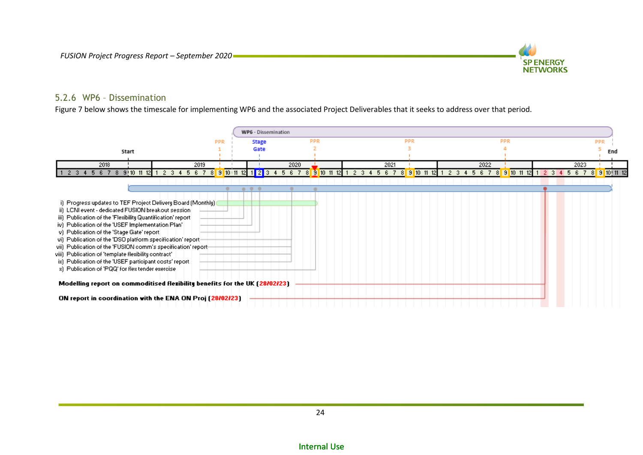

#### 5.2.6 WP6 – Dissemination

[Figure 7](#page-23-1) below shows the timescale for implementing WP6 and the associated Project Deliverables that it seeks to address over that period.

<span id="page-23-1"></span><span id="page-23-0"></span>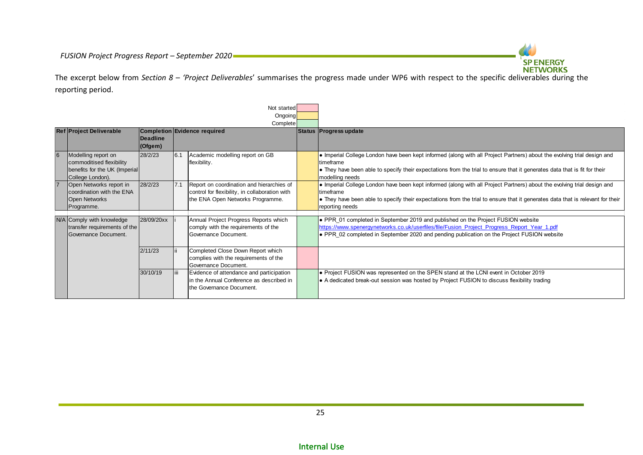

The excerpt below from *Section [8](#page-36-1) – '[Project Deliverables](#page-36-1)*' summarises the progress made under WP6 with respect to the specific deliverables during the reporting period.

|                |                                                                                                      |                     |                              | Not started                                                                                                                     |                                                                                                                                                                                                                                                                                                   |
|----------------|------------------------------------------------------------------------------------------------------|---------------------|------------------------------|---------------------------------------------------------------------------------------------------------------------------------|---------------------------------------------------------------------------------------------------------------------------------------------------------------------------------------------------------------------------------------------------------------------------------------------------|
|                |                                                                                                      |                     |                              | Ongoing                                                                                                                         |                                                                                                                                                                                                                                                                                                   |
|                |                                                                                                      |                     |                              | Complete                                                                                                                        |                                                                                                                                                                                                                                                                                                   |
|                | <b>Ref Project Deliverable</b>                                                                       | Deadline<br>(Ofgem) | Completion Evidence required |                                                                                                                                 | Status Progress update                                                                                                                                                                                                                                                                            |
| 6              | Modelling report on<br>commoditised flexibility<br>benefits for the UK (Imperial<br>College London). | 28/2/23             | 6.1                          | Academic modelling report on GB<br>flexibility.                                                                                 | • Imperial College London have been kept informed (along with all Project Partners) about the evolving trial design and<br><b>Itimeframe</b><br>• They have been able to specify their expectations from the trial to ensure that it generates data that is fit for their<br>modelling needs      |
| $\overline{7}$ | Open Networks report in<br>coordination with the ENA<br><b>Open Networks</b><br>Programme.           | 28/2/23             | 7.1                          | Report on coordination and hierarchies of<br>control for flexibility, in collaboration with<br>the ENA Open Networks Programme. | • Imperial College London have been kept informed (along with all Project Partners) about the evolving trial design and<br><b>Itimeframe</b><br>• They have been able to specify their expectations from the trial to ensure that it generates data that is relevant for their<br>reporting needs |
|                | N/A Comply with knowledge<br>transfer requirements of the<br>Governance Document.                    | 28/09/20xx          |                              | Annual Project Progress Reports which<br>comply with the requirements of the<br>Governance Document.                            | PPR 01 completed in September 2019 and published on the Project FUSION website<br>https://www.spenergynetworks.co.uk/userfiles/file/Fusion_Project_Progress_Report_Year_1.pdf<br>PPR 02 completed in September 2020 and pending publication on the Project FUSION website                         |
|                |                                                                                                      | 2/11/23             |                              | Completed Close Down Report which<br>complies with the requirements of the<br>Governance Document.                              |                                                                                                                                                                                                                                                                                                   |
|                |                                                                                                      | 30/10/19            |                              | Evidence of attendance and participation<br>In the Annual Conference as described in<br>the Governance Document.                | • Project FUSION was represented on the SPEN stand at the LCNI event in October 2019<br>A dedicated break-out session was hosted by Project FUSION to discuss flexibility trading                                                                                                                 |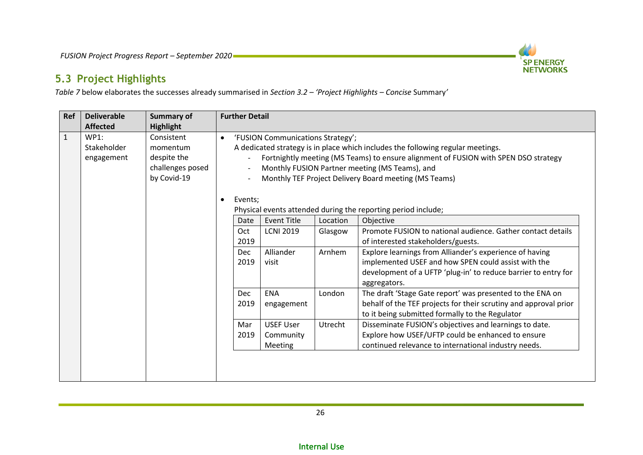

### **5.3 Project Highlights**

*[Table 7](#page-27-0)* below elaborates the successes already summarised in *Sectio[n 3.2](#page-11-1) – '[Project Highlights](#page-11-1) – Concise* Summary*'*

<span id="page-25-0"></span>

| <b>Ref</b>   | <b>Deliverable</b>                | <b>Summary of</b>                                                        | <b>Further Detail</b>                                |                                                                                                                                                                                                                                                                                                                        |                               |                                                                                                                                                                                                                                                                                                                                                                     |  |  |  |  |  |  |
|--------------|-----------------------------------|--------------------------------------------------------------------------|------------------------------------------------------|------------------------------------------------------------------------------------------------------------------------------------------------------------------------------------------------------------------------------------------------------------------------------------------------------------------------|-------------------------------|---------------------------------------------------------------------------------------------------------------------------------------------------------------------------------------------------------------------------------------------------------------------------------------------------------------------------------------------------------------------|--|--|--|--|--|--|
|              | <b>Affected</b>                   | <b>Highlight</b>                                                         |                                                      |                                                                                                                                                                                                                                                                                                                        |                               |                                                                                                                                                                                                                                                                                                                                                                     |  |  |  |  |  |  |
| $\mathbf{1}$ | WP1:<br>Stakeholder<br>engagement | Consistent<br>momentum<br>despite the<br>challenges posed<br>by Covid-19 | $\bullet$                                            | 'FUSION Communications Strategy';<br>A dedicated strategy is in place which includes the following regular meetings.<br>Fortnightly meeting (MS Teams) to ensure alignment of FUSION with SPEN DSO strategy<br>Monthly FUSION Partner meeting (MS Teams), and<br>Monthly TEF Project Delivery Board meeting (MS Teams) |                               |                                                                                                                                                                                                                                                                                                                                                                     |  |  |  |  |  |  |
|              |                                   |                                                                          | Events;<br>Date<br>Oct<br>2019<br><b>Dec</b><br>2019 | <b>Event Title</b><br><b>LCNI 2019</b><br>Alliander<br>visit                                                                                                                                                                                                                                                           | Location<br>Glasgow<br>Arnhem | Physical events attended during the reporting period include;<br>Objective<br>Promote FUSION to national audience. Gather contact details<br>of interested stakeholders/guests.<br>Explore learnings from Alliander's experience of having<br>implemented USEF and how SPEN could assist with the<br>development of a UFTP 'plug-in' to reduce barrier to entry for |  |  |  |  |  |  |
|              |                                   |                                                                          | <b>Dec</b><br>2019                                   | <b>ENA</b><br>engagement                                                                                                                                                                                                                                                                                               | London                        | aggregators.<br>The draft 'Stage Gate report' was presented to the ENA on<br>behalf of the TEF projects for their scrutiny and approval prior<br>to it being submitted formally to the Regulator                                                                                                                                                                    |  |  |  |  |  |  |
|              |                                   |                                                                          | Mar<br>2019                                          | <b>USEF User</b><br>Community<br><b>Meeting</b>                                                                                                                                                                                                                                                                        | Utrecht                       | Disseminate FUSION's objectives and learnings to date.<br>Explore how USEF/UFTP could be enhanced to ensure<br>continued relevance to international industry needs.                                                                                                                                                                                                 |  |  |  |  |  |  |
|              |                                   |                                                                          |                                                      |                                                                                                                                                                                                                                                                                                                        |                               |                                                                                                                                                                                                                                                                                                                                                                     |  |  |  |  |  |  |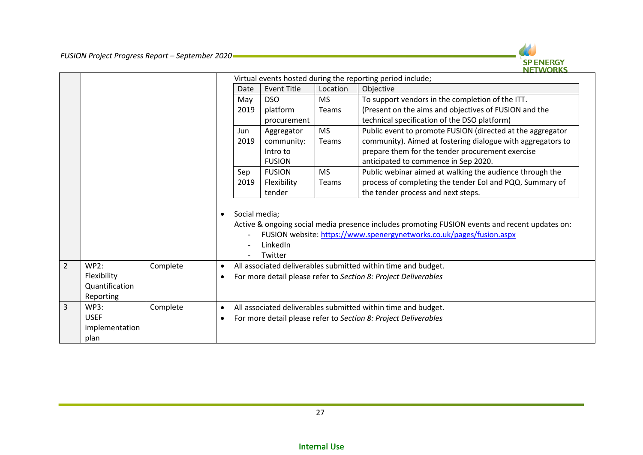

|                |                |          | Virtual events hosted during the reporting period include; |               |                    |              |                                                                                                |  |  |
|----------------|----------------|----------|------------------------------------------------------------|---------------|--------------------|--------------|------------------------------------------------------------------------------------------------|--|--|
|                |                |          |                                                            | Date          | <b>Event Title</b> | Location     | Objective                                                                                      |  |  |
|                |                |          |                                                            | May           | <b>DSO</b>         | <b>MS</b>    | To support vendors in the completion of the ITT.                                               |  |  |
|                |                |          |                                                            | 2019          | platform           | <b>Teams</b> | (Present on the aims and objectives of FUSION and the                                          |  |  |
|                |                |          |                                                            |               | procurement        |              | technical specification of the DSO platform)                                                   |  |  |
|                |                |          |                                                            | Jun           | Aggregator         | <b>MS</b>    | Public event to promote FUSION (directed at the aggregator                                     |  |  |
|                |                |          |                                                            | 2019          | community:         | Teams        | community). Aimed at fostering dialogue with aggregators to                                    |  |  |
|                |                |          |                                                            |               | Intro to           |              | prepare them for the tender procurement exercise                                               |  |  |
|                |                |          |                                                            |               | <b>FUSION</b>      |              | anticipated to commence in Sep 2020.                                                           |  |  |
|                |                |          |                                                            | Sep           | <b>FUSION</b>      | <b>MS</b>    | Public webinar aimed at walking the audience through the                                       |  |  |
|                |                |          |                                                            | 2019          | Flexibility        | <b>Teams</b> | process of completing the tender EoI and PQQ. Summary of                                       |  |  |
|                |                |          |                                                            |               | tender             |              | the tender process and next steps.                                                             |  |  |
|                |                |          |                                                            |               |                    |              |                                                                                                |  |  |
|                |                |          | $\bullet$                                                  | Social media; |                    |              |                                                                                                |  |  |
|                |                |          |                                                            |               |                    |              | Active & ongoing social media presence includes promoting FUSION events and recent updates on: |  |  |
|                |                |          |                                                            |               |                    |              | FUSION website: https://www.spenergynetworks.co.uk/pages/fusion.aspx                           |  |  |
|                |                |          |                                                            |               | LinkedIn           |              |                                                                                                |  |  |
|                |                |          |                                                            |               | Twitter            |              |                                                                                                |  |  |
| $\overline{2}$ | <b>WP2:</b>    | Complete | $\bullet$                                                  |               |                    |              | All associated deliverables submitted within time and budget.                                  |  |  |
|                | Flexibility    |          | $\bullet$                                                  |               |                    |              | For more detail please refer to Section 8: Project Deliverables                                |  |  |
|                | Quantification |          |                                                            |               |                    |              |                                                                                                |  |  |
|                | Reporting      |          |                                                            |               |                    |              |                                                                                                |  |  |
| 3              | <b>WP3:</b>    | Complete | $\bullet$                                                  |               |                    |              | All associated deliverables submitted within time and budget.                                  |  |  |
|                | <b>USEF</b>    |          | $\bullet$                                                  |               |                    |              | For more detail please refer to Section 8: Project Deliverables                                |  |  |
|                | implementation |          |                                                            |               |                    |              |                                                                                                |  |  |
|                | plan           |          |                                                            |               |                    |              |                                                                                                |  |  |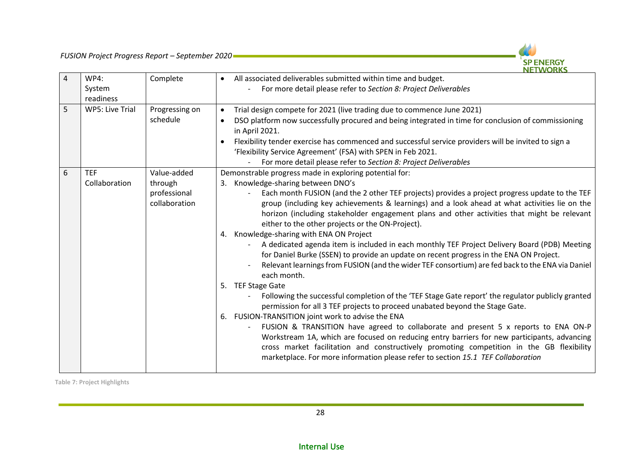

| DSO platform now successfully procured and being integrated in time for conclusion of commissioning                                                                                    |
|----------------------------------------------------------------------------------------------------------------------------------------------------------------------------------------|
| Flexibility tender exercise has commenced and successful service providers will be invited to sign a                                                                                   |
|                                                                                                                                                                                        |
|                                                                                                                                                                                        |
|                                                                                                                                                                                        |
|                                                                                                                                                                                        |
| Each month FUSION (and the 2 other TEF projects) provides a project progress update to the TEF                                                                                         |
| group (including key achievements & learnings) and a look ahead at what activities lie on the                                                                                          |
| horizon (including stakeholder engagement plans and other activities that might be relevant                                                                                            |
|                                                                                                                                                                                        |
|                                                                                                                                                                                        |
| A dedicated agenda item is included in each monthly TEF Project Delivery Board (PDB) Meeting<br>for Daniel Burke (SSEN) to provide an update on recent progress in the ENA ON Project. |
| Relevant learnings from FUSION (and the wider TEF consortium) are fed back to the ENA via Daniel                                                                                       |
|                                                                                                                                                                                        |
|                                                                                                                                                                                        |
| Following the successful completion of the 'TEF Stage Gate report' the regulator publicly granted<br>permission for all 3 TEF projects to proceed unabated beyond the Stage Gate.      |
|                                                                                                                                                                                        |
| FUSION & TRANSITION have agreed to collaborate and present 5 x reports to ENA ON-P                                                                                                     |
| Workstream 1A, which are focused on reducing entry barriers for new participants, advancing                                                                                            |
| cross market facilitation and constructively promoting competition in the GB flexibility                                                                                               |
| marketplace. For more information please refer to section 15.1 TEF Collaboration                                                                                                       |
|                                                                                                                                                                                        |

<span id="page-27-0"></span>**Table 7: Project Highlights**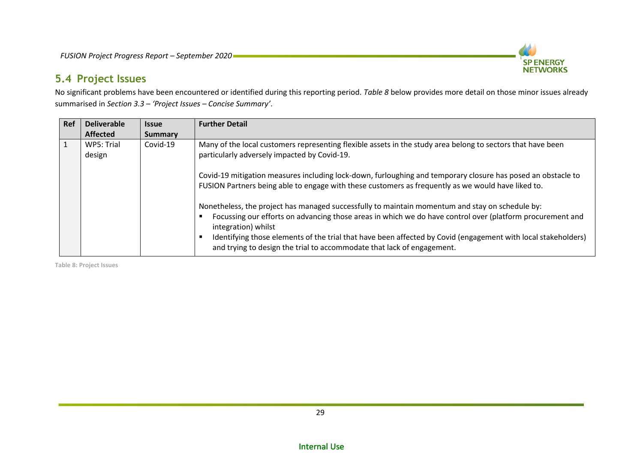

### **5.4 Project Issues**

No significant problems have been encountered or identified during this reporting period. *[Table 8](#page-28-1)* below provides more detail on those minor issues already summarised in *Section [3.3](#page-12-4) – 'Project Issues – [Concise Summary](#page-12-4)'*.

| Ref | <b>Deliverable</b>   | <b>Issue</b>   | <b>Further Detail</b>                                                                                                                                                                                                                                                                                                                                                                                                          |
|-----|----------------------|----------------|--------------------------------------------------------------------------------------------------------------------------------------------------------------------------------------------------------------------------------------------------------------------------------------------------------------------------------------------------------------------------------------------------------------------------------|
|     | <b>Affected</b>      | <b>Summary</b> |                                                                                                                                                                                                                                                                                                                                                                                                                                |
|     | WP5: Trial<br>design | Covid-19       | Many of the local customers representing flexible assets in the study area belong to sectors that have been<br>particularly adversely impacted by Covid-19.                                                                                                                                                                                                                                                                    |
|     |                      |                | Covid-19 mitigation measures including lock-down, furloughing and temporary closure has posed an obstacle to<br>FUSION Partners being able to engage with these customers as frequently as we would have liked to.                                                                                                                                                                                                             |
|     |                      |                | Nonetheless, the project has managed successfully to maintain momentum and stay on schedule by:<br>Focussing our efforts on advancing those areas in which we do have control over (platform procurement and<br>integration) whilst<br>Identifying those elements of the trial that have been affected by Covid (engagement with local stakeholders)<br>and trying to design the trial to accommodate that lack of engagement. |

<span id="page-28-1"></span><span id="page-28-0"></span>**Table 8: Project Issues**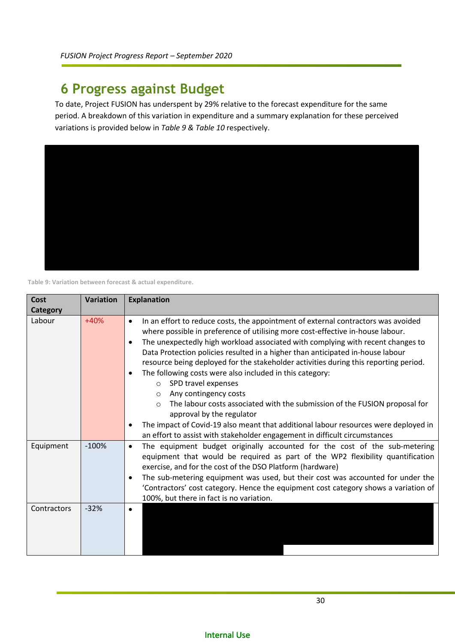## <span id="page-29-0"></span>**6 Progress against Budget**

To date, Project FUSION has underspent by 29% relative to the forecast expenditure for the same period. A breakdown of this variation in expenditure and a summary explanation for these perceived variations is provided below in *[Table 9](#page-29-1) & [Table 10](#page-30-2)* respectively.



<span id="page-29-1"></span>**Table 9: Variation between forecast & actual expenditure.**

| Cost        | <b>Variation</b> | <b>Explanation</b>                                                                                                                                                                                                                                                                                                                                                                                                                                                                                                                                                                                                                                                                                                                                                                                                                                                                                    |
|-------------|------------------|-------------------------------------------------------------------------------------------------------------------------------------------------------------------------------------------------------------------------------------------------------------------------------------------------------------------------------------------------------------------------------------------------------------------------------------------------------------------------------------------------------------------------------------------------------------------------------------------------------------------------------------------------------------------------------------------------------------------------------------------------------------------------------------------------------------------------------------------------------------------------------------------------------|
| Category    |                  |                                                                                                                                                                                                                                                                                                                                                                                                                                                                                                                                                                                                                                                                                                                                                                                                                                                                                                       |
| Labour      | $+40%$           | In an effort to reduce costs, the appointment of external contractors was avoided<br>$\bullet$<br>where possible in preference of utilising more cost-effective in-house labour.<br>The unexpectedly high workload associated with complying with recent changes to<br>$\bullet$<br>Data Protection policies resulted in a higher than anticipated in-house labour<br>resource being deployed for the stakeholder activities during this reporting period.<br>The following costs were also included in this category:<br>$\bullet$<br>SPD travel expenses<br>$\Omega$<br>Any contingency costs<br>$\circ$<br>The labour costs associated with the submission of the FUSION proposal for<br>$\circ$<br>approval by the regulator<br>The impact of Covid-19 also meant that additional labour resources were deployed in<br>an effort to assist with stakeholder engagement in difficult circumstances |
| Equipment   | $-100%$          | The equipment budget originally accounted for the cost of the sub-metering<br>$\bullet$<br>equipment that would be required as part of the WP2 flexibility quantification<br>exercise, and for the cost of the DSO Platform (hardware)<br>The sub-metering equipment was used, but their cost was accounted for under the<br>$\bullet$<br>'Contractors' cost category. Hence the equipment cost category shows a variation of<br>100%, but there in fact is no variation.                                                                                                                                                                                                                                                                                                                                                                                                                             |
| Contractors | $-32%$           | $\bullet$                                                                                                                                                                                                                                                                                                                                                                                                                                                                                                                                                                                                                                                                                                                                                                                                                                                                                             |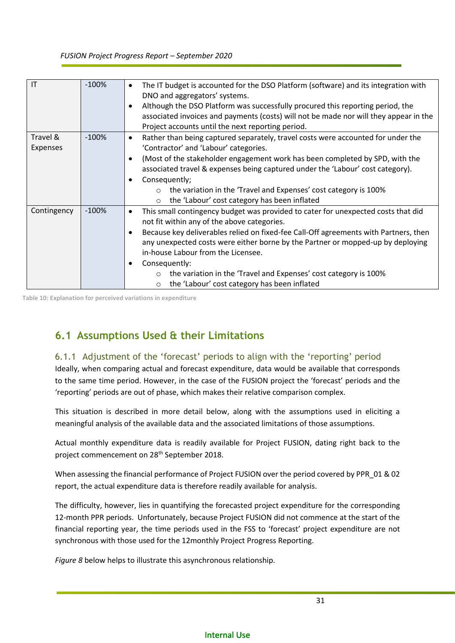| $\mathsf{I}\mathsf{T}$ | $-100%$ | The IT budget is accounted for the DSO Platform (software) and its integration with<br>$\bullet$<br>DNO and aggregators' systems.<br>Although the DSO Platform was successfully procured this reporting period, the<br>associated invoices and payments (costs) will not be made nor will they appear in the<br>Project accounts until the next reporting period. |
|------------------------|---------|-------------------------------------------------------------------------------------------------------------------------------------------------------------------------------------------------------------------------------------------------------------------------------------------------------------------------------------------------------------------|
| Travel &               | $-100%$ | Rather than being captured separately, travel costs were accounted for under the<br>$\bullet$                                                                                                                                                                                                                                                                     |
| Expenses               |         | 'Contractor' and 'Labour' categories.                                                                                                                                                                                                                                                                                                                             |
|                        |         | (Most of the stakeholder engagement work has been completed by SPD, with the                                                                                                                                                                                                                                                                                      |
|                        |         | associated travel & expenses being captured under the 'Labour' cost category).                                                                                                                                                                                                                                                                                    |
|                        |         | Consequently;                                                                                                                                                                                                                                                                                                                                                     |
|                        |         | the variation in the 'Travel and Expenses' cost category is 100%                                                                                                                                                                                                                                                                                                  |
|                        |         | the 'Labour' cost category has been inflated<br>$\circ$                                                                                                                                                                                                                                                                                                           |
| Contingency            | $-100%$ | This small contingency budget was provided to cater for unexpected costs that did<br>$\bullet$                                                                                                                                                                                                                                                                    |
|                        |         | not fit within any of the above categories.                                                                                                                                                                                                                                                                                                                       |
|                        |         | Because key deliverables relied on fixed-fee Call-Off agreements with Partners, then                                                                                                                                                                                                                                                                              |
|                        |         | any unexpected costs were either borne by the Partner or mopped-up by deploying                                                                                                                                                                                                                                                                                   |
|                        |         | in-house Labour from the Licensee.                                                                                                                                                                                                                                                                                                                                |
|                        |         | Consequently:                                                                                                                                                                                                                                                                                                                                                     |
|                        |         | the variation in the 'Travel and Expenses' cost category is 100%                                                                                                                                                                                                                                                                                                  |
|                        |         | the 'Labour' cost category has been inflated<br>$\circ$                                                                                                                                                                                                                                                                                                           |

<span id="page-30-2"></span>**Table 10: Explanation for perceived variations in expenditure**

### <span id="page-30-0"></span>**6.1 Assumptions Used & their Limitations**

#### <span id="page-30-1"></span>6.1.1 Adjustment of the 'forecast' periods to align with the 'reporting' period

Ideally, when comparing actual and forecast expenditure, data would be available that corresponds to the same time period. However, in the case of the FUSION project the 'forecast' periods and the 'reporting' periods are out of phase, which makes their relative comparison complex.

This situation is described in more detail below, along with the assumptions used in eliciting a meaningful analysis of the available data and the associated limitations of those assumptions.

Actual monthly expenditure data is readily available for Project FUSION, dating right back to the project commencement on 28th September 2018.

When assessing the financial performance of Project FUSION over the period covered by PPR\_01 & 02 report, the actual expenditure data is therefore readily available for analysis.

The difficulty, however, lies in quantifying the forecasted project expenditure for the corresponding 12-month PPR periods. Unfortunately, because Project FUSION did not commence at the start of the financial reporting year, the time periods used in the FSS to 'forecast' project expenditure are not synchronous with those used for the 12monthly Project Progress Reporting.

*[Figure 8](#page-31-0)* below helps to illustrate this asynchronous relationship.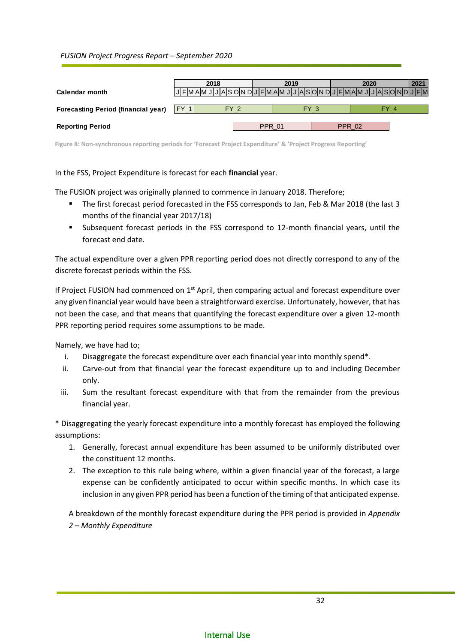| Calendar month                             | 2018         | 2019          | 2020<br>JFMAMJJJASOMDJFMAMJJJASOMDJFMAMJJJEMAMJJJASOMDJFM | 2021 |
|--------------------------------------------|--------------|---------------|-----------------------------------------------------------|------|
| <b>Forecasting Period (financial year)</b> | FY 1<br>FY 2 | FY 3          | FY 4                                                      |      |
| <b>Reporting Period</b>                    |              | <b>PPR 01</b> | <b>PPR 02</b>                                             |      |

<span id="page-31-0"></span>**Figure 8: Non-synchronous reporting periods for 'Forecast Project Expenditure' & 'Project Progress Reporting'** 

In the FSS, Project Expenditure is forecast for each **financial** year.

The FUSION project was originally planned to commence in January 2018. Therefore;

- The first forecast period forecasted in the FSS corresponds to Jan, Feb & Mar 2018 (the last 3 months of the financial year 2017/18)
- Subsequent forecast periods in the FSS correspond to 12-month financial years, until the forecast end date.

The actual expenditure over a given PPR reporting period does not directly correspond to any of the discrete forecast periods within the FSS.

If Project FUSION had commenced on  $1<sup>st</sup>$  April, then comparing actual and forecast expenditure over any given financial year would have been a straightforward exercise. Unfortunately, however, that has not been the case, and that means that quantifying the forecast expenditure over a given 12-month PPR reporting period requires some assumptions to be made.

Namely, we have had to;

- i. Disaggregate the forecast expenditure over each financial year into monthly spend\*.
- ii. Carve-out from that financial year the forecast expenditure up to and including December only.
- iii. Sum the resultant forecast expenditure with that from the remainder from the previous financial year.

\* Disaggregating the yearly forecast expenditure into a monthly forecast has employed the following assumptions:

- 1. Generally, forecast annual expenditure has been assumed to be uniformly distributed over the constituent 12 months.
- 2. The exception to this rule being where, within a given financial year of the forecast, a large expense can be confidently anticipated to occur within specific months. In which case its inclusion in any given PPR period has been a function of the timing of that anticipated expense.

A breakdown of the monthly forecast expenditure during the PPR period is provided in *[Appendix](#page-56-0)  2 – Monthly [Expenditure](#page-56-0)*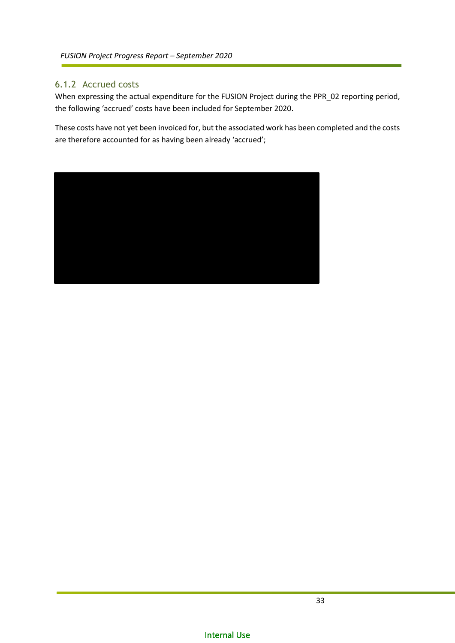### <span id="page-32-0"></span>6.1.2 Accrued costs

When expressing the actual expenditure for the FUSION Project during the PPR\_02 reporting period, the following 'accrued' costs have been included for September 2020.

These costs have not yet been invoiced for, but the associated work has been completed and the costs are therefore accounted for as having been already 'accrued';

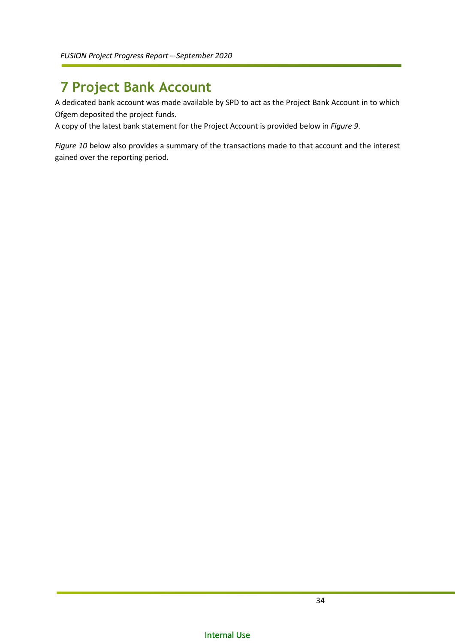## <span id="page-33-0"></span>**7 Project Bank Account**

A dedicated bank account was made available by SPD to act as the Project Bank Account in to which Ofgem deposited the project funds.

A copy of the latest bank statement for the Project Account is provided below in *[Figure 9](#page-34-0)*.

*[Figure 10](#page-35-0)* below also provides a summary of the transactions made to that account and the interest gained over the reporting period.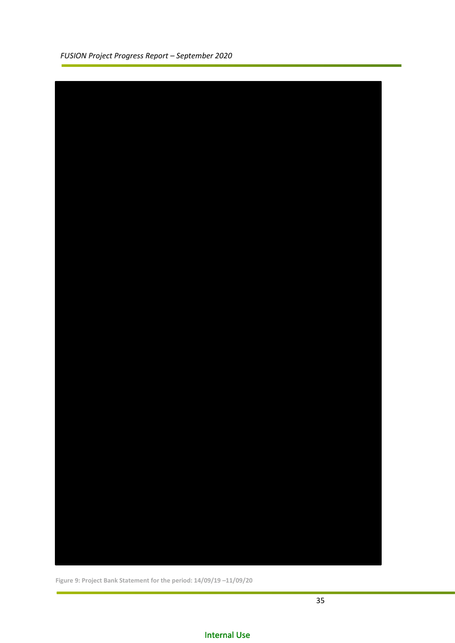|  |  | FUSION Project Progress Report - September 2020 |  |
|--|--|-------------------------------------------------|--|
|  |  |                                                 |  |



<span id="page-34-0"></span>**Figure 9: Project Bank Statement for the period: 14/09/19 –11/09/20**

f.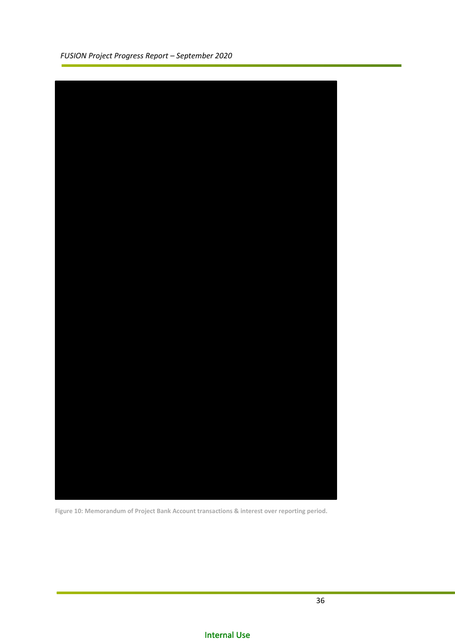

<span id="page-35-0"></span>**Figure 10: Memorandum of Project Bank Account transactions & interest over reporting period.**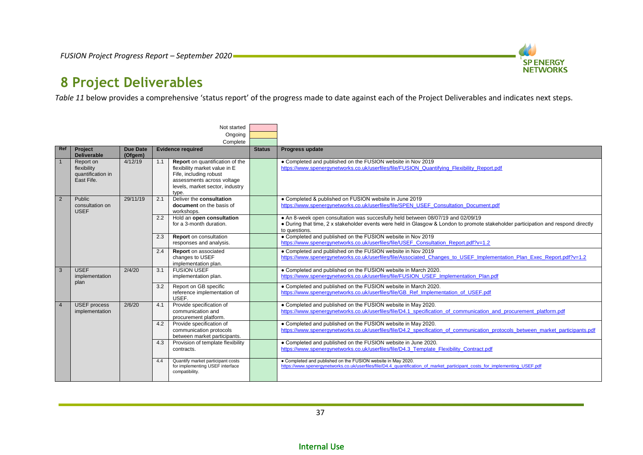

## <span id="page-36-1"></span>**8 Project Deliverables**

*[Table 11](#page-38-0)* below provides a comprehensive 'status report' of the progress made to date against each of the Project Deliverables and indicates next steps.

<span id="page-36-0"></span>

|                |                                                             |                            |     | Not started                                                                                                                                                          |               |                                                                                                                                                                                                                                         |  |  |  |  |     |                                                               |  |                                                                                                                                                       |
|----------------|-------------------------------------------------------------|----------------------------|-----|----------------------------------------------------------------------------------------------------------------------------------------------------------------------|---------------|-----------------------------------------------------------------------------------------------------------------------------------------------------------------------------------------------------------------------------------------|--|--|--|--|-----|---------------------------------------------------------------|--|-------------------------------------------------------------------------------------------------------------------------------------------------------|
|                |                                                             |                            |     | Ongoing                                                                                                                                                              |               |                                                                                                                                                                                                                                         |  |  |  |  |     |                                                               |  |                                                                                                                                                       |
|                |                                                             |                            |     | Complete                                                                                                                                                             |               |                                                                                                                                                                                                                                         |  |  |  |  |     |                                                               |  |                                                                                                                                                       |
| Ref            | <b>Project</b><br><b>Deliverable</b>                        | <b>Due Date</b><br>(Ofgem) |     | <b>Evidence required</b>                                                                                                                                             | <b>Status</b> | Progress update                                                                                                                                                                                                                         |  |  |  |  |     |                                                               |  |                                                                                                                                                       |
|                | Report on<br>flexibility<br>quantification in<br>East Fife. | 4/12/19                    | 1.1 | Report on quantification of the<br>flexibility market value in E<br>Fife, including robust<br>assessments across voltage<br>levels, market sector, industry<br>type. |               | • Completed and published on the FUSION website in Nov 2019<br>https://www.spenergynetworks.co.uk/userfiles/file/FUSION Quantifying Flexibility Report.pdf                                                                              |  |  |  |  |     |                                                               |  |                                                                                                                                                       |
| $\overline{2}$ | Public<br>consultation on<br><b>USEF</b>                    | 29/11/19                   | 2.1 | Deliver the consultation<br>document on the basis of<br>workshops.                                                                                                   |               | • Completed & published on FUSION website in June 2019<br>https://www.spenergynetworks.co.uk/userfiles/file/SPEN USEF Consultation Document.pdf                                                                                         |  |  |  |  |     |                                                               |  |                                                                                                                                                       |
|                |                                                             |                            | 2.2 | Hold an open consultation<br>for a 3-month duration.                                                                                                                 |               | • An 8-week open consultation was succesfully held between 08/07/19 and 02/09/19<br>• During that time, 2 x stakeholder events were held in Glasgow & London to promote stakeholder participation and respond directly<br>to questions. |  |  |  |  |     |                                                               |  |                                                                                                                                                       |
|                |                                                             |                            | 2.3 | Report on consultation<br>responses and analysis.                                                                                                                    |               | • Completed and published on the FUSION website in Nov 2019<br>https://www.spenergynetworks.co.uk/userfiles/file/USEF Consultation Report.pdf?v=1.2                                                                                     |  |  |  |  |     |                                                               |  |                                                                                                                                                       |
|                |                                                             |                            | 2.4 | <b>Report</b> on associated<br>changes to USEF<br>implementation plan.                                                                                               |               | • Completed and published on the FUSION website in Nov 2019<br>https://www.spenergynetworks.co.uk/userfiles/file/Associated_Changes_to_USEF_Implementation_Plan_Exec_Report.pdf?v=1.2                                                   |  |  |  |  |     |                                                               |  |                                                                                                                                                       |
| 3              | <b>USEF</b><br>implementation<br>plan                       | 2/4/20                     | 3.1 | <b>FUSION USEF</b><br>implementation plan.                                                                                                                           |               | • Completed and published on the FUSION website in March 2020.<br>https://www.spenergynetworks.co.uk/userfiles/file/FUSION USEF Implementation Plan.pdf                                                                                 |  |  |  |  |     |                                                               |  |                                                                                                                                                       |
|                |                                                             |                            |     |                                                                                                                                                                      |               |                                                                                                                                                                                                                                         |  |  |  |  | 3.2 | Report on GB specific<br>reference implementation of<br>USEF. |  | • Completed and published on the FUSION website in March 2020.<br>https://www.spenergynetworks.co.uk/userfiles/file/GB Ref Implementation of USEF.pdf |
| $\overline{4}$ | <b>USEF</b> process<br>implementation                       | 2/6/20                     | 4.1 | Provide specification of<br>communication and<br>procurement platform.                                                                                               |               | • Completed and published on the FUSION website in May 2020.<br>https://www.spenergynetworks.co.uk/userfiles/file/D4.1_specification_of_communication_and_procurement_platform.pdf                                                      |  |  |  |  |     |                                                               |  |                                                                                                                                                       |
|                |                                                             |                            | 4.2 | Provide specification of<br>communication protocols<br>between market participants.                                                                                  |               | • Completed and published on the FUSION website in May 2020.<br>https://www.spenergynetworks.co.uk/userfiles/file/D4.2 specification of communication protocols between market participants.pdf                                         |  |  |  |  |     |                                                               |  |                                                                                                                                                       |
|                |                                                             |                            | 4.3 | Provision of template flexibility<br>contracts.                                                                                                                      |               | • Completed and published on the FUSION website in June 2020.<br>https://www.spenergynetworks.co.uk/userfiles/file/D4.3 Template Flexibility Contract.pdf                                                                               |  |  |  |  |     |                                                               |  |                                                                                                                                                       |
|                |                                                             |                            | 4.4 | Quantify market participant costs<br>for implementing USEF interface<br>compatibility.                                                                               |               | . Completed and published on the FUSION website in May 2020.<br>https://www.spenerqynetworks.co.uk/userfiles/file/D4.4_quantification_of_market_participant_costs_for_implementing_USEF.pdf                                             |  |  |  |  |     |                                                               |  |                                                                                                                                                       |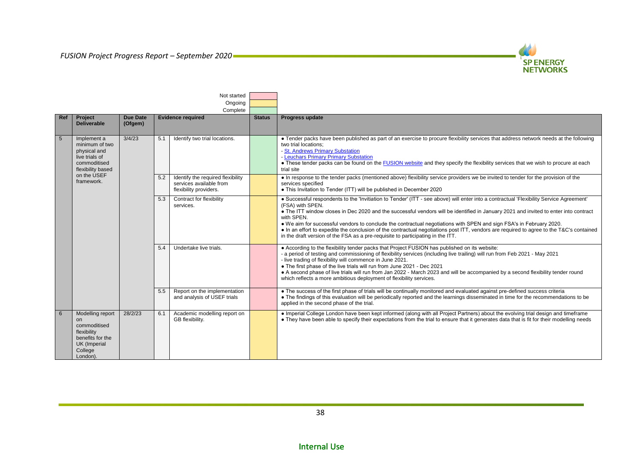

|     |                                                                                                                         |                            |     | Not started<br>Ongoing<br>Complete                                                     |                        |                                                                                                                                                                                                                                                                                                                                                                                               |                                                                                                                                                                                                                                                                                                                                                                                                                                                                                                                                                                                 |                                                                                                                                                                                                                                                                                                                  |  |                                                                                |                                                                                                                                                                                                                                                                                                                                                                                                                                                                                                                                                                                                                                       |
|-----|-------------------------------------------------------------------------------------------------------------------------|----------------------------|-----|----------------------------------------------------------------------------------------|------------------------|-----------------------------------------------------------------------------------------------------------------------------------------------------------------------------------------------------------------------------------------------------------------------------------------------------------------------------------------------------------------------------------------------|---------------------------------------------------------------------------------------------------------------------------------------------------------------------------------------------------------------------------------------------------------------------------------------------------------------------------------------------------------------------------------------------------------------------------------------------------------------------------------------------------------------------------------------------------------------------------------|------------------------------------------------------------------------------------------------------------------------------------------------------------------------------------------------------------------------------------------------------------------------------------------------------------------|--|--------------------------------------------------------------------------------|---------------------------------------------------------------------------------------------------------------------------------------------------------------------------------------------------------------------------------------------------------------------------------------------------------------------------------------------------------------------------------------------------------------------------------------------------------------------------------------------------------------------------------------------------------------------------------------------------------------------------------------|
| Ref | Project<br><b>Deliverable</b>                                                                                           | <b>Due Date</b><br>(Ofgem) |     | <b>Evidence required</b>                                                               | <b>Status</b>          | Progress update                                                                                                                                                                                                                                                                                                                                                                               |                                                                                                                                                                                                                                                                                                                                                                                                                                                                                                                                                                                 |                                                                                                                                                                                                                                                                                                                  |  |                                                                                |                                                                                                                                                                                                                                                                                                                                                                                                                                                                                                                                                                                                                                       |
| 5   | Implement a<br>minimum of two<br>physical and<br>live trials of<br>commoditised<br>flexibility based                    | 3/4/23                     | 5.1 | Identify two trial locations.                                                          |                        | • Tender packs have been published as part of an exercise to procure flexibility services that address network needs at the following<br>two trial locations;<br>- St. Andrews Primary Substation<br>- Leuchars Primary Primary Substation<br>• These tender packs can be found on the FUSION website and they specify the flexibility services that we wish to procure at each<br>trial site |                                                                                                                                                                                                                                                                                                                                                                                                                                                                                                                                                                                 |                                                                                                                                                                                                                                                                                                                  |  |                                                                                |                                                                                                                                                                                                                                                                                                                                                                                                                                                                                                                                                                                                                                       |
|     | on the USEF<br>framework.                                                                                               |                            | 5.2 | Identify the required flexibility<br>services available from<br>flexibility providers. |                        | • In response to the tender packs (mentioned above) flexibility service providers we be invited to tender for the provision of the<br>services specified<br>• This Invitation to Tender (ITT) will be published in December 2020                                                                                                                                                              |                                                                                                                                                                                                                                                                                                                                                                                                                                                                                                                                                                                 |                                                                                                                                                                                                                                                                                                                  |  |                                                                                |                                                                                                                                                                                                                                                                                                                                                                                                                                                                                                                                                                                                                                       |
|     |                                                                                                                         |                            |     |                                                                                        |                        |                                                                                                                                                                                                                                                                                                                                                                                               |                                                                                                                                                                                                                                                                                                                                                                                                                                                                                                                                                                                 |                                                                                                                                                                                                                                                                                                                  |  | 5.3<br>Contract for flexibility<br>(FSA) with SPEN.<br>services.<br>with SPEN. | . Successful respondents to the 'Invitiation to Tender' (ITT - see above) will enter into a contractual 'Flexibility Service Agreement'<br>. The ITT window closes in Dec 2020 and the successful vendors will be identified in January 2021 and invited to enter into contract<br>. We aim for successful vendors to conclude the contractual negotiations with SPEN and sign FSA's in February 2020.<br>• In an effort to expedite the conclusion of the contractual negotiations post ITT, vendors are required to agree to the T&C's contained<br>in the draft version of the FSA as a pre-requisite to participating in the ITT. |
|     |                                                                                                                         |                            |     | 5.4                                                                                    | Undertake live trials. |                                                                                                                                                                                                                                                                                                                                                                                               | • According to the flexibility tender packs that Project FUSION has published on its website:<br>- a period of testing and commissioning of flexibility services (including live trailing) will run from Feb 2021 - May 2021<br>- live trading of flexibility will commence in June 2021.<br>• The first phase of the live trials will run from June 2021 - Dec 2021<br>• A second phase of live trials will run from Jan 2022 - March 2023 and will be accompanied by a second flexibility tender round<br>which reflects a more ambitious deployment of flexibility services. |                                                                                                                                                                                                                                                                                                                  |  |                                                                                |                                                                                                                                                                                                                                                                                                                                                                                                                                                                                                                                                                                                                                       |
|     |                                                                                                                         |                            |     |                                                                                        | 5.5                    | Report on the implementation<br>and analysis of USEF trials                                                                                                                                                                                                                                                                                                                                   |                                                                                                                                                                                                                                                                                                                                                                                                                                                                                                                                                                                 | . The success of the first phase of trials will be continually monitored and evaluated against pre-defined success criteria<br>• The findings of this evaluation will be periodically reported and the learnings disseminated in time for the recommendations to be<br>applied in the second phase of the trial. |  |                                                                                |                                                                                                                                                                                                                                                                                                                                                                                                                                                                                                                                                                                                                                       |
| 6   | Modelling report<br>on<br>commoditised<br>flexibility<br>benefits for the<br><b>UK</b> (Imperial<br>College<br>London). | 28/2/23                    | 6.1 | Academic modelling report on<br>GB flexibility.                                        |                        | • Imperial College London have been kept informed (along with all Project Partners) about the evolving trial design and timeframe<br>• They have been able to specify their expectations from the trial to ensure that it generates data that is fit for their modelling needs                                                                                                                |                                                                                                                                                                                                                                                                                                                                                                                                                                                                                                                                                                                 |                                                                                                                                                                                                                                                                                                                  |  |                                                                                |                                                                                                                                                                                                                                                                                                                                                                                                                                                                                                                                                                                                                                       |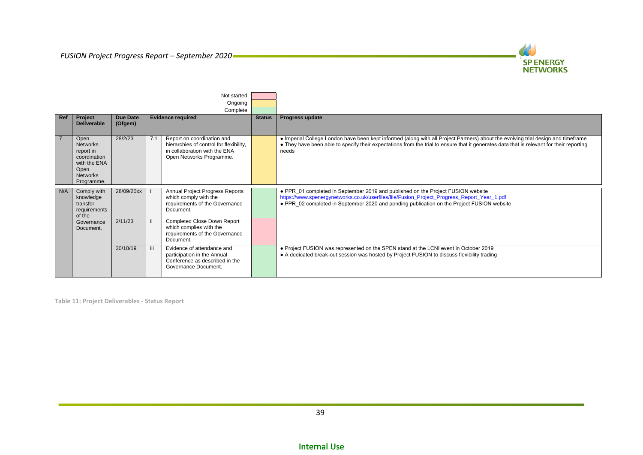

| Not started<br>Ongoing    |                                                                                                               |                            |     |                                                                                                                                    |               |                                                                                                                                                                                                                                                                                        |
|---------------------------|---------------------------------------------------------------------------------------------------------------|----------------------------|-----|------------------------------------------------------------------------------------------------------------------------------------|---------------|----------------------------------------------------------------------------------------------------------------------------------------------------------------------------------------------------------------------------------------------------------------------------------------|
|                           |                                                                                                               |                            |     | Complete                                                                                                                           |               |                                                                                                                                                                                                                                                                                        |
| Ref                       | Project<br><b>Deliverable</b>                                                                                 | <b>Due Date</b><br>(Ofgem) |     | <b>Evidence required</b>                                                                                                           | <b>Status</b> | Progress update                                                                                                                                                                                                                                                                        |
| $\overline{7}$            | Open<br><b>Networks</b><br>report in<br>coordination<br>with the ENA<br>Open<br><b>Networks</b><br>Programme. | 28/2/23                    | 7.1 | Report on coordination and<br>hierarchies of control for flexibility,<br>in collaboration with the ENA<br>Open Networks Programme. |               | • Imperial College London have been kept informed (along with all Project Partners) about the evolving trial design and timeframe<br>• They have been able to specify their expectations from the trial to ensure that it generates data that is relevant for their reporting<br>needs |
| N/A<br>transfer<br>of the | Comply with<br>knowledge<br>requirements                                                                      | 28/09/20xx                 |     | Annual Project Progress Reports<br>which comply with the<br>requirements of the Governance<br>Document.                            |               | • PPR 01 completed in September 2019 and published on the Project FUSION website<br>https://www.spenergynetworks.co.uk/userfiles/file/Fusion_Project_Progress_Report_Year_1.pdf<br>• PPR 02 completed in September 2020 and pending publication on the Project FUSION website          |
|                           | Governance<br>Document.                                                                                       | 2/11/23                    |     | Completed Close Down Report<br>which complies with the<br>requirements of the Governance<br>Document.                              |               |                                                                                                                                                                                                                                                                                        |
|                           |                                                                                                               | 30/10/19                   | iii | Evidence of attendance and<br>participation in the Annual<br>Conference as described in the<br>Governance Document.                |               | • Project FUSION was represented on the SPEN stand at the LCNI event in October 2019<br>• A dedicated break-out session was hosted by Project FUSION to discuss flexibility trading                                                                                                    |

<span id="page-38-0"></span>**Table 11: Project Deliverables - Status Report**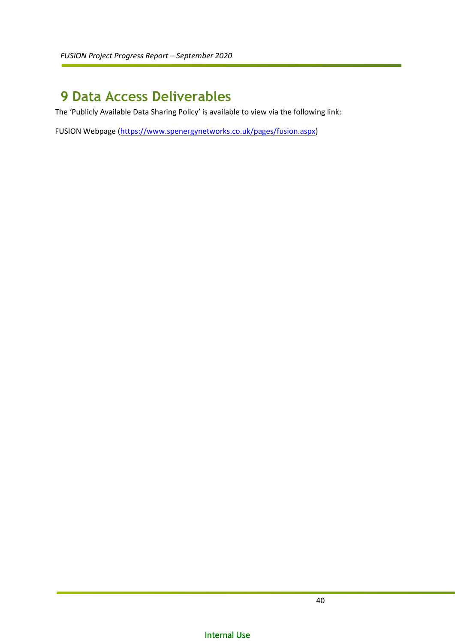## <span id="page-39-0"></span>**9 Data Access Deliverables**

The 'Publicly Available Data Sharing Policy' is available to view via the following link:

FUSION Webpage [\(https://www.spenergynetworks.co.uk/pages/fusion.aspx\)](https://www.spenergynetworks.co.uk/pages/fusion.aspx)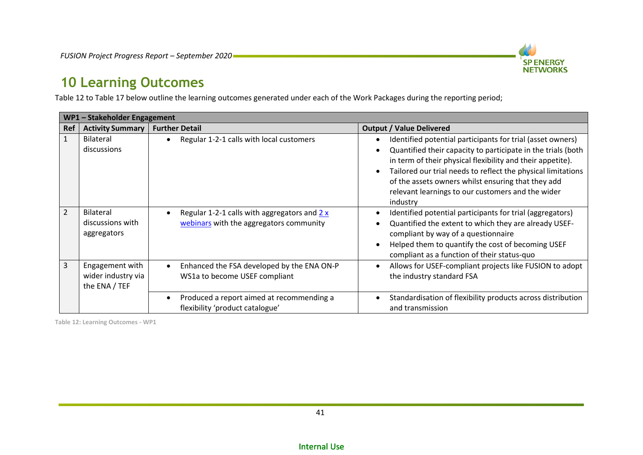

## **10 Learning Outcomes**

[Table 12](#page-40-1) t[o Table 17](#page-43-0) below outline the learning outcomes generated under each of the Work Packages during the reporting period;

|                | WP1 - Stakeholder Engagement                           |                                                                                                       |                                                                                                                                                                                                                                                                                                                                                                                 |  |  |  |  |
|----------------|--------------------------------------------------------|-------------------------------------------------------------------------------------------------------|---------------------------------------------------------------------------------------------------------------------------------------------------------------------------------------------------------------------------------------------------------------------------------------------------------------------------------------------------------------------------------|--|--|--|--|
| Ref            | <b>Activity Summary</b>                                | <b>Further Detail</b>                                                                                 | <b>Output / Value Delivered</b>                                                                                                                                                                                                                                                                                                                                                 |  |  |  |  |
| $\mathbf{1}$   | <b>Bilateral</b><br>discussions                        | Regular 1-2-1 calls with local customers<br>$\bullet$                                                 | Identified potential participants for trial (asset owners)<br>Quantified their capacity to participate in the trials (both<br>in term of their physical flexibility and their appetite).<br>Tailored our trial needs to reflect the physical limitations<br>of the assets owners whilst ensuring that they add<br>relevant learnings to our customers and the wider<br>industry |  |  |  |  |
| $\overline{2}$ | <b>Bilateral</b><br>discussions with<br>aggregators    | Regular 1-2-1 calls with aggregators and $2x$<br>$\bullet$<br>webinars with the aggregators community | Identified potential participants for trial (aggregators)<br>Quantified the extent to which they are already USEF-<br>compliant by way of a questionnaire<br>Helped them to quantify the cost of becoming USEF<br>compliant as a function of their status-quo                                                                                                                   |  |  |  |  |
| 3              | Engagement with<br>wider industry via<br>the ENA / TEF | Enhanced the FSA developed by the ENA ON-P<br>$\bullet$<br>WS1a to become USEF compliant              | Allows for USEF-compliant projects like FUSION to adopt<br>the industry standard FSA                                                                                                                                                                                                                                                                                            |  |  |  |  |
|                |                                                        | Produced a report aimed at recommending a<br>$\bullet$<br>flexibility 'product catalogue'             | Standardisation of flexibility products across distribution<br>and transmission                                                                                                                                                                                                                                                                                                 |  |  |  |  |

<span id="page-40-1"></span><span id="page-40-0"></span>**Table 12: Learning Outcomes - WP1**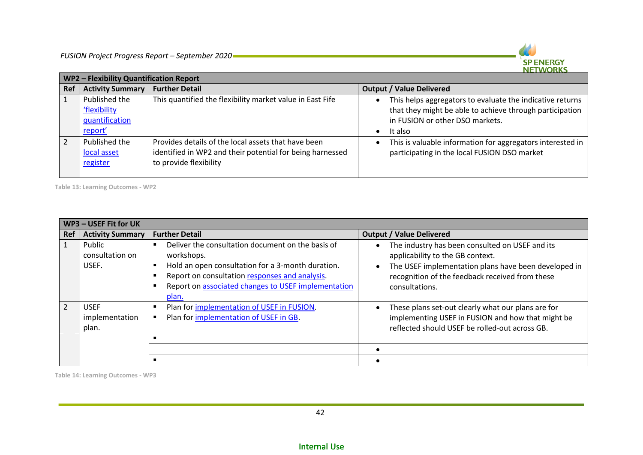

|     | WP2 - Flexibility Quantification Report                    |                                                                                                                                            |                                                                                                                                                                                  |  |  |  |  |  |  |
|-----|------------------------------------------------------------|--------------------------------------------------------------------------------------------------------------------------------------------|----------------------------------------------------------------------------------------------------------------------------------------------------------------------------------|--|--|--|--|--|--|
| Ref | <b>Activity Summary</b>                                    | <b>Further Detail</b>                                                                                                                      | <b>Output / Value Delivered</b>                                                                                                                                                  |  |  |  |  |  |  |
|     | Published the<br>'flexibility<br>quantification<br>report' | This quantified the flexibility market value in East Fife                                                                                  | This helps aggregators to evaluate the indicative returns<br>that they might be able to achieve through participation<br>in FUSION or other DSO markets.<br>It also<br>$\bullet$ |  |  |  |  |  |  |
|     | Published the<br>local asset<br>register                   | Provides details of the local assets that have been<br>identified in WP2 and their potential for being harnessed<br>to provide flexibility | This is valuable information for aggregators interested in<br>participating in the local FUSION DSO market                                                                       |  |  |  |  |  |  |

**Table 13: Learning Outcomes - WP2**

|            | WP3 - USEF Fit for UK                  |                                                                                                                                                                                                                                        |                                                                                                                                                                                                                  |  |  |  |  |  |
|------------|----------------------------------------|----------------------------------------------------------------------------------------------------------------------------------------------------------------------------------------------------------------------------------------|------------------------------------------------------------------------------------------------------------------------------------------------------------------------------------------------------------------|--|--|--|--|--|
| <b>Ref</b> | <b>Activity Summary</b>                | <b>Further Detail</b>                                                                                                                                                                                                                  | <b>Output / Value Delivered</b>                                                                                                                                                                                  |  |  |  |  |  |
|            | Public<br>consultation on<br>USEF.     | Deliver the consultation document on the basis of<br>workshops.<br>Hold an open consultation for a 3-month duration.<br>Report on consultation responses and analysis.<br>Report on associated changes to USEF implementation<br>plan. | The industry has been consulted on USEF and its<br>applicability to the GB context.<br>The USEF implementation plans have been developed in<br>recognition of the feedback received from these<br>consultations. |  |  |  |  |  |
|            | <b>USEF</b><br>implementation<br>plan. | Plan for implementation of USEF in FUSION.<br>п<br>Plan for implementation of USEF in GB.                                                                                                                                              | These plans set-out clearly what our plans are for<br>implementing USEF in FUSION and how that might be<br>reflected should USEF be rolled-out across GB.                                                        |  |  |  |  |  |
|            |                                        |                                                                                                                                                                                                                                        |                                                                                                                                                                                                                  |  |  |  |  |  |
|            |                                        |                                                                                                                                                                                                                                        |                                                                                                                                                                                                                  |  |  |  |  |  |
|            |                                        |                                                                                                                                                                                                                                        |                                                                                                                                                                                                                  |  |  |  |  |  |

**Table 14: Learning Outcomes - WP3**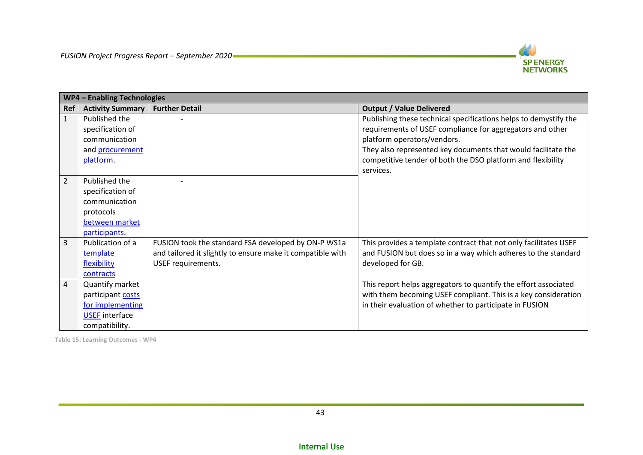

|                | <b>WP4 - Enabling Technologies</b> |                                                            |                                                                  |  |  |  |  |  |
|----------------|------------------------------------|------------------------------------------------------------|------------------------------------------------------------------|--|--|--|--|--|
| <b>Ref</b>     | <b>Activity Summary</b>            | <b>Further Detail</b>                                      | <b>Output / Value Delivered</b>                                  |  |  |  |  |  |
| $\mathbf{1}$   | Published the                      |                                                            | Publishing these technical specifications helps to demystify the |  |  |  |  |  |
|                | specification of                   |                                                            | requirements of USEF compliance for aggregators and other        |  |  |  |  |  |
|                | communication                      |                                                            | platform operators/vendors.                                      |  |  |  |  |  |
|                | and procurement                    |                                                            | They also represented key documents that would facilitate the    |  |  |  |  |  |
|                | platform.                          |                                                            | competitive tender of both the DSO platform and flexibility      |  |  |  |  |  |
|                |                                    |                                                            | services.                                                        |  |  |  |  |  |
| $\overline{2}$ | Published the                      |                                                            |                                                                  |  |  |  |  |  |
|                | specification of                   |                                                            |                                                                  |  |  |  |  |  |
|                | communication                      |                                                            |                                                                  |  |  |  |  |  |
|                | protocols                          |                                                            |                                                                  |  |  |  |  |  |
|                | between market                     |                                                            |                                                                  |  |  |  |  |  |
|                | participants.                      |                                                            |                                                                  |  |  |  |  |  |
| 3              | Publication of a                   | FUSION took the standard FSA developed by ON-P WS1a        | This provides a template contract that not only facilitates USEF |  |  |  |  |  |
|                | template                           | and tailored it slightly to ensure make it compatible with | and FUSION but does so in a way which adheres to the standard    |  |  |  |  |  |
|                | flexibility                        | USEF requirements.                                         | developed for GB.                                                |  |  |  |  |  |
|                | contracts                          |                                                            |                                                                  |  |  |  |  |  |
| $\overline{4}$ | Quantify market                    |                                                            | This report helps aggregators to quantify the effort associated  |  |  |  |  |  |
|                | participant costs                  |                                                            | with them becoming USEF compliant. This is a key consideration   |  |  |  |  |  |
|                | for implementing                   |                                                            | in their evaluation of whether to participate in FUSION          |  |  |  |  |  |
|                | <b>USEF</b> interface              |                                                            |                                                                  |  |  |  |  |  |
|                | compatibility.                     |                                                            |                                                                  |  |  |  |  |  |

**Table 15: Learning Outcomes - WP4**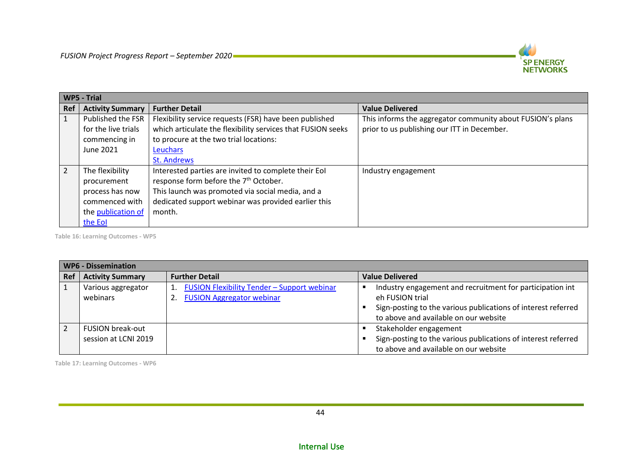

|                | <b>WP5 - Trial</b>      |                                                             |                                                            |  |  |  |  |
|----------------|-------------------------|-------------------------------------------------------------|------------------------------------------------------------|--|--|--|--|
| <b>Ref</b>     | <b>Activity Summary</b> | <b>Further Detail</b>                                       | <b>Value Delivered</b>                                     |  |  |  |  |
|                | Published the FSR       | Flexibility service requests (FSR) have been published      | This informs the aggregator community about FUSION's plans |  |  |  |  |
|                | for the live trials     | which articulate the flexibility services that FUSION seeks | prior to us publishing our ITT in December.                |  |  |  |  |
|                | commencing in           | to procure at the two trial locations:                      |                                                            |  |  |  |  |
|                | June 2021               | Leuchars                                                    |                                                            |  |  |  |  |
|                |                         | <b>St. Andrews</b>                                          |                                                            |  |  |  |  |
| $\overline{2}$ | The flexibility         | Interested parties are invited to complete their EoI        | Industry engagement                                        |  |  |  |  |
|                | procurement             | response form before the 7 <sup>th</sup> October.           |                                                            |  |  |  |  |
|                | process has now         | This launch was promoted via social media, and a            |                                                            |  |  |  |  |
|                | commenced with          | dedicated support webinar was provided earlier this         |                                                            |  |  |  |  |
|                | the publication of      | month.                                                      |                                                            |  |  |  |  |
|                | the Eol                 |                                                             |                                                            |  |  |  |  |

**Table 16: Learning Outcomes - WP5**

|     | <b>WP6 - Dissemination</b>                      |                                                                                 |                                                                                                                                                                                        |  |  |  |  |  |
|-----|-------------------------------------------------|---------------------------------------------------------------------------------|----------------------------------------------------------------------------------------------------------------------------------------------------------------------------------------|--|--|--|--|--|
| Ref | <b>Activity Summary</b>                         | <b>Further Detail</b>                                                           | <b>Value Delivered</b>                                                                                                                                                                 |  |  |  |  |  |
|     | Various aggregator<br>webinars                  | FUSION Flexibility Tender - Support webinar<br><b>FUSION Aggregator webinar</b> | Industry engagement and recruitment for participation int<br>eh FUSION trial<br>Sign-posting to the various publications of interest referred<br>to above and available on our website |  |  |  |  |  |
|     | <b>FUSION break-out</b><br>session at LCNI 2019 |                                                                                 | Stakeholder engagement<br>Sign-posting to the various publications of interest referred<br>to above and available on our website                                                       |  |  |  |  |  |

<span id="page-43-0"></span>**Table 17: Learning Outcomes - WP6**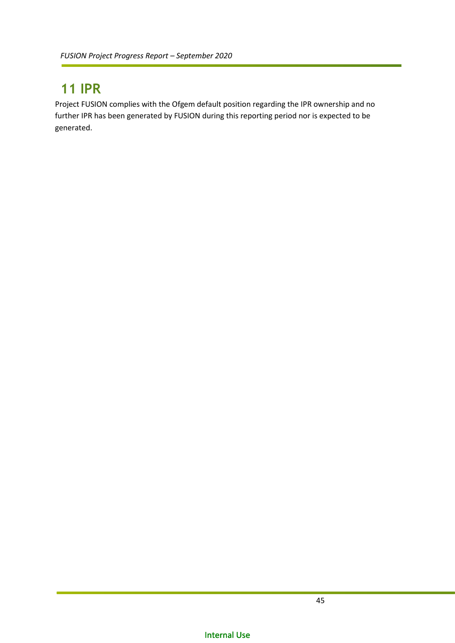## <span id="page-44-0"></span>**11 IPR**

Project FUSION complies with the Ofgem default position regarding the IPR ownership and no further IPR has been generated by FUSION during this reporting period nor is expected to be generated.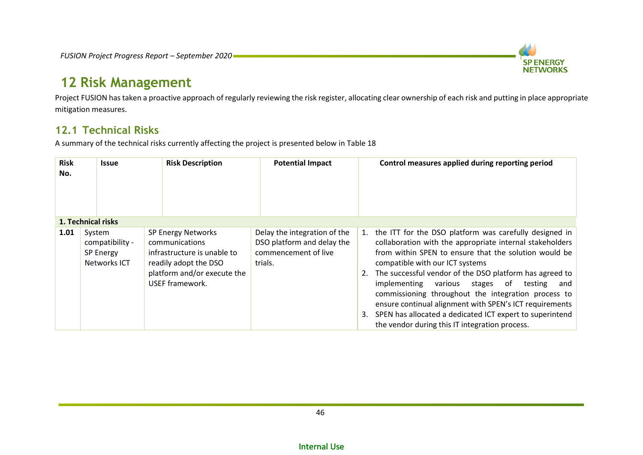

## **12 Risk Management**

Project FUSION has taken a proactive approach of regularly reviewing the risk register, allocating clear ownership of each risk and putting in place appropriate mitigation measures.

### **12.1 Technical Risks**

A summary of the technical risks currently affecting the project is presented below in [Table 18](#page-46-0)

<span id="page-45-1"></span><span id="page-45-0"></span>

| <b>Risk</b><br>No. | Issue                                                  | <b>Risk Description</b>                                                                                                                        | <b>Potential Impact</b>                                                                       | Control measures applied during reporting period                                                                                                                                                                                                                                                                                                                                                                                                                                                                                                                          |
|--------------------|--------------------------------------------------------|------------------------------------------------------------------------------------------------------------------------------------------------|-----------------------------------------------------------------------------------------------|---------------------------------------------------------------------------------------------------------------------------------------------------------------------------------------------------------------------------------------------------------------------------------------------------------------------------------------------------------------------------------------------------------------------------------------------------------------------------------------------------------------------------------------------------------------------------|
|                    | 1. Technical risks                                     |                                                                                                                                                |                                                                                               |                                                                                                                                                                                                                                                                                                                                                                                                                                                                                                                                                                           |
| 1.01               | System<br>compatibility -<br>SP Energy<br>Networks ICT | SP Energy Networks<br>communications<br>infrastructure is unable to<br>readily adopt the DSO<br>platform and/or execute the<br>USEF framework. | Delay the integration of the<br>DSO platform and delay the<br>commencement of live<br>trials. | 1. the ITT for the DSO platform was carefully designed in<br>collaboration with the appropriate internal stakeholders<br>from within SPEN to ensure that the solution would be<br>compatible with our ICT systems<br>2. The successful vendor of the DSO platform has agreed to<br>implementing various stages<br>of<br>testing<br>and<br>commissioning throughout the integration process to<br>ensure continual alignment with SPEN's ICT requirements<br>3. SPEN has allocated a dedicated ICT expert to superintend<br>the vendor during this IT integration process. |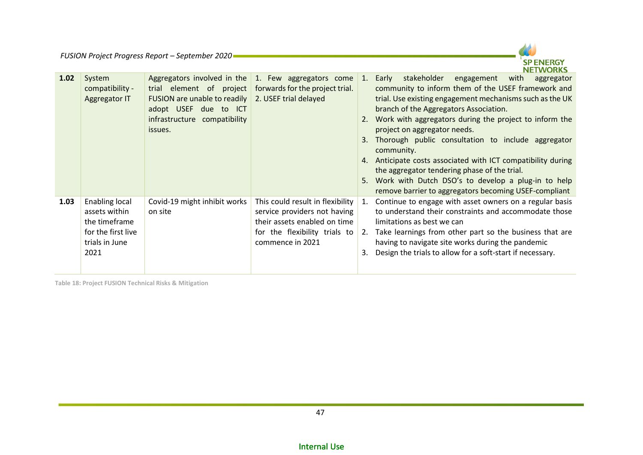

| 1.02 | System<br>compatibility -<br>Aggregator IT                                                              | trial element of project<br>FUSION are unable to readily<br>adopt USEF due to ICT<br>infrastructure compatibility<br>issues. | Aggregators involved in the 1. Few aggregators come<br>forwards for the project trial.<br>2. USEF trial delayed                                       | 1.<br>3.<br>4.<br>5. | stakeholder<br>Early<br>engagement<br>with<br>aggregator<br>community to inform them of the USEF framework and<br>trial. Use existing engagement mechanisms such as the UK<br>branch of the Aggregators Association.<br>Work with aggregators during the project to inform the<br>project on aggregator needs.<br>Thorough public consultation to include aggregator<br>community.<br>Anticipate costs associated with ICT compatibility during<br>the aggregator tendering phase of the trial.<br>Work with Dutch DSO's to develop a plug-in to help<br>remove barrier to aggregators becoming USEF-compliant |
|------|---------------------------------------------------------------------------------------------------------|------------------------------------------------------------------------------------------------------------------------------|-------------------------------------------------------------------------------------------------------------------------------------------------------|----------------------|----------------------------------------------------------------------------------------------------------------------------------------------------------------------------------------------------------------------------------------------------------------------------------------------------------------------------------------------------------------------------------------------------------------------------------------------------------------------------------------------------------------------------------------------------------------------------------------------------------------|
| 1.03 | <b>Enabling local</b><br>assets within<br>the timeframe<br>for the first live<br>trials in June<br>2021 | Covid-19 might inhibit works<br>on site                                                                                      | This could result in flexibility<br>service providers not having<br>their assets enabled on time<br>for the flexibility trials to<br>commence in 2021 | 1.<br>2.<br>3.       | Continue to engage with asset owners on a regular basis<br>to understand their constraints and accommodate those<br>limitations as best we can<br>Take learnings from other part so the business that are<br>having to navigate site works during the pandemic<br>Design the trials to allow for a soft-start if necessary.                                                                                                                                                                                                                                                                                    |

<span id="page-46-0"></span>**Table 18: Project FUSION Technical Risks & Mitigation**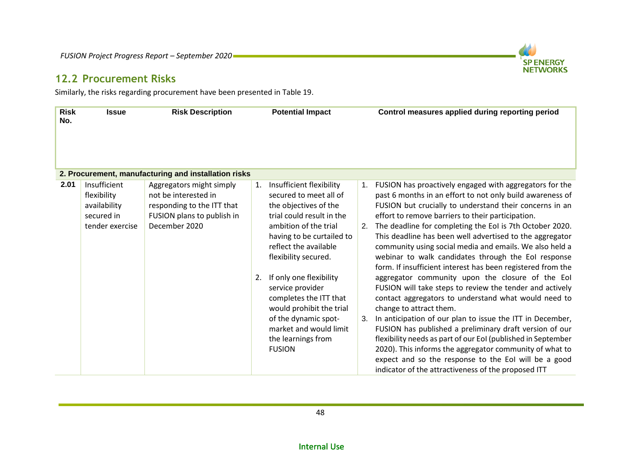

Similarly, the risks regarding procurement have been presented i[n Table 19.](#page-48-0)

<span id="page-47-0"></span>

| <b>Risk</b><br>No. | <b>Issue</b>                                                                 | <b>Risk Description</b>                                                                                                       |          | <b>Potential Impact</b>                                                                                                                                                                                                                                                                                                                                                                                       |                | Control measures applied during reporting period                                                                                                                                                                                                                                                                                                                                                                                                                                                                                                                                                                                                                                                                                                                                                                                                                                                                                                                                                                                                                                                                   |
|--------------------|------------------------------------------------------------------------------|-------------------------------------------------------------------------------------------------------------------------------|----------|---------------------------------------------------------------------------------------------------------------------------------------------------------------------------------------------------------------------------------------------------------------------------------------------------------------------------------------------------------------------------------------------------------------|----------------|--------------------------------------------------------------------------------------------------------------------------------------------------------------------------------------------------------------------------------------------------------------------------------------------------------------------------------------------------------------------------------------------------------------------------------------------------------------------------------------------------------------------------------------------------------------------------------------------------------------------------------------------------------------------------------------------------------------------------------------------------------------------------------------------------------------------------------------------------------------------------------------------------------------------------------------------------------------------------------------------------------------------------------------------------------------------------------------------------------------------|
|                    |                                                                              | 2. Procurement, manufacturing and installation risks                                                                          |          |                                                                                                                                                                                                                                                                                                                                                                                                               |                |                                                                                                                                                                                                                                                                                                                                                                                                                                                                                                                                                                                                                                                                                                                                                                                                                                                                                                                                                                                                                                                                                                                    |
| 2.01               | Insufficient<br>flexibility<br>availability<br>secured in<br>tender exercise | Aggregators might simply<br>not be interested in<br>responding to the ITT that<br>FUSION plans to publish in<br>December 2020 | 1.<br>2. | Insufficient flexibility<br>secured to meet all of<br>the objectives of the<br>trial could result in the<br>ambition of the trial<br>having to be curtailed to<br>reflect the available<br>flexibility secured.<br>If only one flexibility<br>service provider<br>completes the ITT that<br>would prohibit the trial<br>of the dynamic spot-<br>market and would limit<br>the learnings from<br><b>FUSION</b> | 1.<br>2.<br>3. | FUSION has proactively engaged with aggregators for the<br>past 6 months in an effort to not only build awareness of<br>FUSION but crucially to understand their concerns in an<br>effort to remove barriers to their participation.<br>The deadline for completing the EoI is 7th October 2020.<br>This deadline has been well advertised to the aggregator<br>community using social media and emails. We also held a<br>webinar to walk candidates through the EoI response<br>form. If insufficient interest has been registered from the<br>aggregator community upon the closure of the EoI<br>FUSION will take steps to review the tender and actively<br>contact aggregators to understand what would need to<br>change to attract them.<br>In anticipation of our plan to issue the ITT in December,<br>FUSION has published a preliminary draft version of our<br>flexibility needs as part of our EoI (published in September<br>2020). This informs the aggregator community of what to<br>expect and so the response to the EoI will be a good<br>indicator of the attractiveness of the proposed ITT |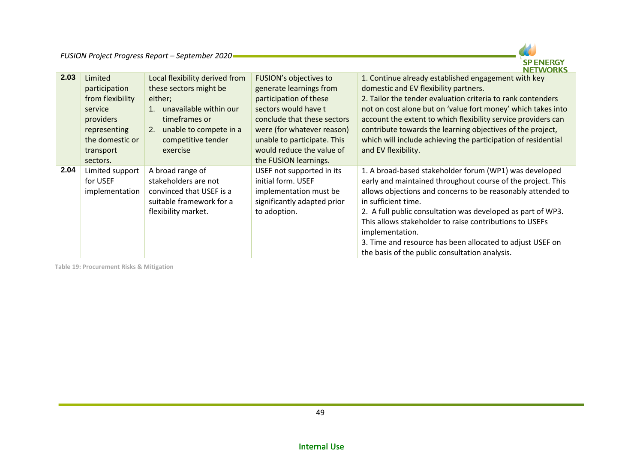

| 2.03 | Limited<br>participation<br>from flexibility<br>service<br>providers<br>representing<br>the domestic or<br>transport<br>sectors. | Local flexibility derived from<br>these sectors might be<br>either;<br>unavailable within our<br>timeframes or<br>unable to compete in a<br>2.<br>competitive tender<br>exercise | FUSION's objectives to<br>generate learnings from<br>participation of these<br>sectors would have t<br>conclude that these sectors<br>were (for whatever reason)<br>unable to participate. This<br>would reduce the value of<br>the FUSION learnings. | 1. Continue already established engagement with key<br>domestic and EV flexibility partners.<br>2. Tailor the tender evaluation criteria to rank contenders<br>not on cost alone but on 'value fort money' which takes into<br>account the extent to which flexibility service providers can<br>contribute towards the learning objectives of the project,<br>which will include achieving the participation of residential<br>and EV flexibility.                      |
|------|----------------------------------------------------------------------------------------------------------------------------------|----------------------------------------------------------------------------------------------------------------------------------------------------------------------------------|-------------------------------------------------------------------------------------------------------------------------------------------------------------------------------------------------------------------------------------------------------|-------------------------------------------------------------------------------------------------------------------------------------------------------------------------------------------------------------------------------------------------------------------------------------------------------------------------------------------------------------------------------------------------------------------------------------------------------------------------|
| 2.04 | Limited support<br>for USEF<br>implementation                                                                                    | A broad range of<br>stakeholders are not<br>convinced that USEF is a<br>suitable framework for a<br>flexibility market.                                                          | USEF not supported in its<br>initial form. USEF<br>implementation must be<br>significantly adapted prior<br>to adoption.                                                                                                                              | 1. A broad-based stakeholder forum (WP1) was developed<br>early and maintained throughout course of the project. This<br>allows objections and concerns to be reasonably attended to<br>in sufficient time.<br>2. A full public consultation was developed as part of WP3.<br>This allows stakeholder to raise contributions to USEFs<br>implementation.<br>3. Time and resource has been allocated to adjust USEF on<br>the basis of the public consultation analysis. |

<span id="page-48-0"></span>**Table 19: Procurement Risks & Mitigation**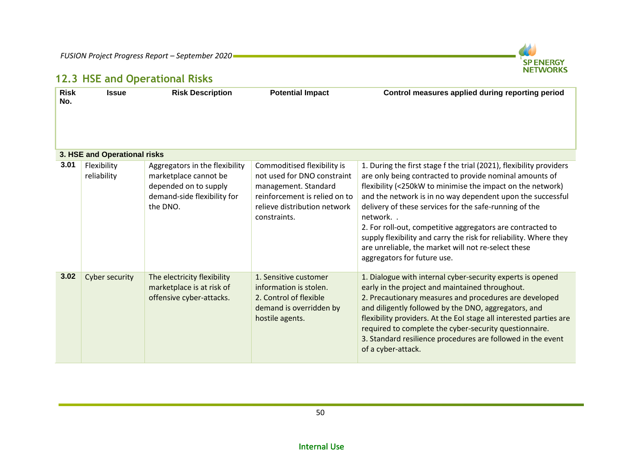

## **12.3 HSE and Operational Risks**

<span id="page-49-0"></span>

| <b>Risk</b><br>No. | <b>Issue</b>                 | <b>Risk Description</b>                                                                                                     | <b>Potential Impact</b>                                                                                                                                             | Control measures applied during reporting period                                                                                                                                                                                                                                                                                                                                                                                                                                                                                                         |
|--------------------|------------------------------|-----------------------------------------------------------------------------------------------------------------------------|---------------------------------------------------------------------------------------------------------------------------------------------------------------------|----------------------------------------------------------------------------------------------------------------------------------------------------------------------------------------------------------------------------------------------------------------------------------------------------------------------------------------------------------------------------------------------------------------------------------------------------------------------------------------------------------------------------------------------------------|
|                    | 3. HSE and Operational risks |                                                                                                                             |                                                                                                                                                                     |                                                                                                                                                                                                                                                                                                                                                                                                                                                                                                                                                          |
| 3.01               | Flexibility<br>reliability   | Aggregators in the flexibility<br>marketplace cannot be<br>depended on to supply<br>demand-side flexibility for<br>the DNO. | Commoditised flexibility is<br>not used for DNO constraint<br>management. Standard<br>reinforcement is relied on to<br>relieve distribution network<br>constraints. | 1. During the first stage f the trial (2021), flexibility providers<br>are only being contracted to provide nominal amounts of<br>flexibility (<250kW to minimise the impact on the network)<br>and the network is in no way dependent upon the successful<br>delivery of these services for the safe-running of the<br>network<br>2. For roll-out, competitive aggregators are contracted to<br>supply flexibility and carry the risk for reliability. Where they<br>are unreliable, the market will not re-select these<br>aggregators for future use. |
| 3.02               | Cyber security               | The electricity flexibility<br>marketplace is at risk of<br>offensive cyber-attacks.                                        | 1. Sensitive customer<br>information is stolen.<br>2. Control of flexible<br>demand is overridden by<br>hostile agents.                                             | 1. Dialogue with internal cyber-security experts is opened<br>early in the project and maintained throughout.<br>2. Precautionary measures and procedures are developed<br>and diligently followed by the DNO, aggregators, and<br>flexibility providers. At the EoI stage all interested parties are<br>required to complete the cyber-security questionnaire.<br>3. Standard resilience procedures are followed in the event<br>of a cyber-attack.                                                                                                     |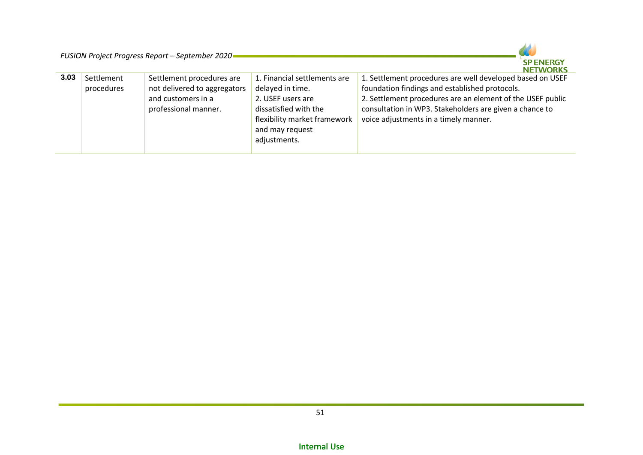

|      |            |                              |                              | .                                                          |
|------|------------|------------------------------|------------------------------|------------------------------------------------------------|
| 3.03 | Settlement | Settlement procedures are    | 1. Financial settlements are | 1. Settlement procedures are well developed based on USEF  |
|      | procedures | not delivered to aggregators | delayed in time.             | foundation findings and established protocols.             |
|      |            | and customers in a           | 2. USEF users are            | 2. Settlement procedures are an element of the USEF public |
|      |            | professional manner.         | dissatisfied with the        | consultation in WP3. Stakeholders are given a chance to    |
|      |            |                              | flexibility market framework | voice adjustments in a timely manner.                      |
|      |            |                              | and may request              |                                                            |
|      |            |                              | adjustments.                 |                                                            |
|      |            |                              |                              |                                                            |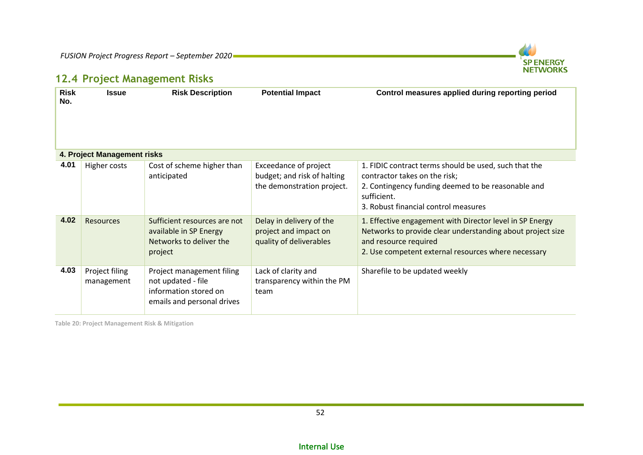

### **12.4 Project Management Risks**

| <b>Risk</b><br>No. | <b>Issue</b>                 | <b>Risk Description</b>                                                                                | <b>Potential Impact</b>                                                                   | Control measures applied during reporting period                                                                                                                                                       |
|--------------------|------------------------------|--------------------------------------------------------------------------------------------------------|-------------------------------------------------------------------------------------------|--------------------------------------------------------------------------------------------------------------------------------------------------------------------------------------------------------|
|                    | 4. Project Management risks  |                                                                                                        |                                                                                           |                                                                                                                                                                                                        |
| 4.01               | Higher costs                 | Cost of scheme higher than<br>anticipated                                                              | <b>Exceedance of project</b><br>budget; and risk of halting<br>the demonstration project. | 1. FIDIC contract terms should be used, such that the<br>contractor takes on the risk;<br>2. Contingency funding deemed to be reasonable and<br>sufficient.<br>3. Robust financial control measures    |
| 4.02               | <b>Resources</b>             | Sufficient resources are not<br>available in SP Energy<br>Networks to deliver the<br>project           | Delay in delivery of the<br>project and impact on<br>quality of deliverables              | 1. Effective engagement with Director level in SP Energy<br>Networks to provide clear understanding about project size<br>and resource required<br>2. Use competent external resources where necessary |
| 4.03               | Project filing<br>management | Project management filing<br>not updated - file<br>information stored on<br>emails and personal drives | Lack of clarity and<br>transparency within the PM<br>team                                 | Sharefile to be updated weekly                                                                                                                                                                         |

<span id="page-51-0"></span>**Table 20: Project Management Risk & Mitigation**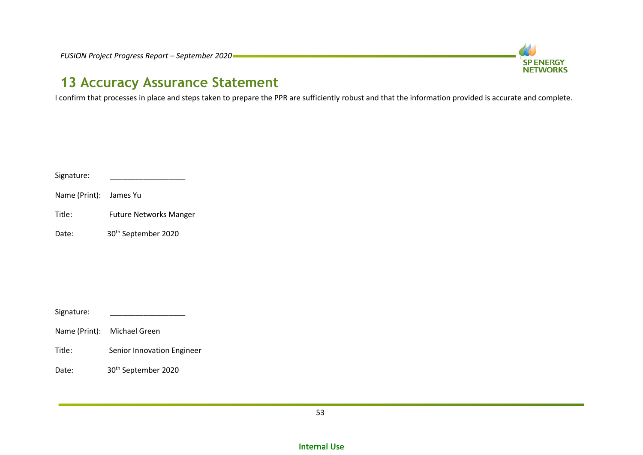

## **13 Accuracy Assurance Statement**

I confirm that processes in place and steps taken to prepare the PPR are sufficiently robust and that the information provided is accurate and complete.

| Signature: |  |
|------------|--|
|            |  |

Name (Print): James Yu

Title: Future Networks Manger

<span id="page-52-0"></span>Date: 30<sup>th</sup> September 2020

Signature:

- Name (Print): Michael Green
- Title: Senior Innovation Engineer
- Date: 30<sup>th</sup> September 2020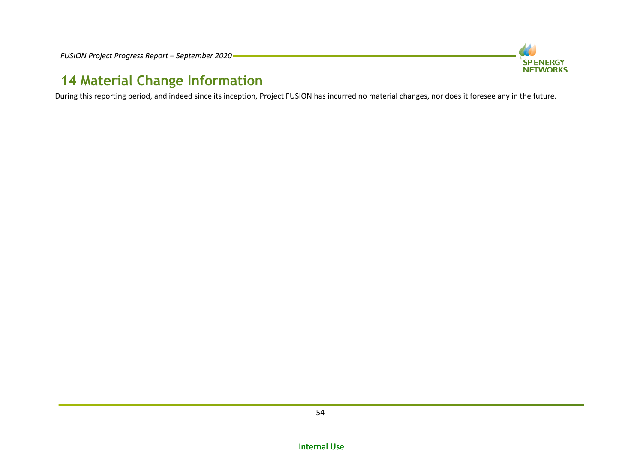

## **14 Material Change Information**

<span id="page-53-0"></span>During this reporting period, and indeed since its inception, Project FUSION has incurred no material changes, nor does it foresee any in the future.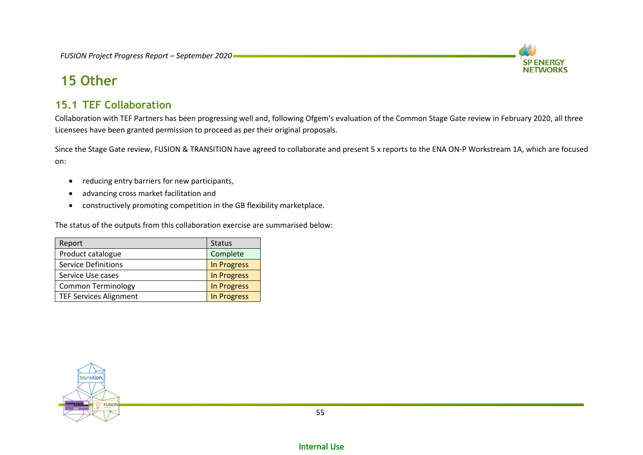

## **15 Other**

### <span id="page-54-2"></span>**15.1 TEF Collaboration**

Collaboration with TEF Partners has been progressing well and, following Ofgem's evaluation of the Common Stage Gate review in February 2020, all three Licensees have been granted permission to proceed as per their original proposals.

Since the Stage Gate review, FUSION & TRANSITION have agreed to collaborate and present 5 x reports to the ENA ON-P Workstream 1A, which are focused on:

- reducing entry barriers for new participants,
- advancing cross market facilitation and
- constructively promoting competition in the GB flexibility marketplace.

The status of the outputs from this collaboration exercise are summarised below:

<span id="page-54-1"></span><span id="page-54-0"></span>

| Report                        | <b>Status</b>      |  |
|-------------------------------|--------------------|--|
| Product catalogue             | Complete           |  |
| <b>Service Definitions</b>    | <b>In Progress</b> |  |
| Service Use cases             | <b>In Progress</b> |  |
| <b>Common Terminology</b>     | <b>In Progress</b> |  |
| <b>TEF Services Alignment</b> | <b>In Progress</b> |  |

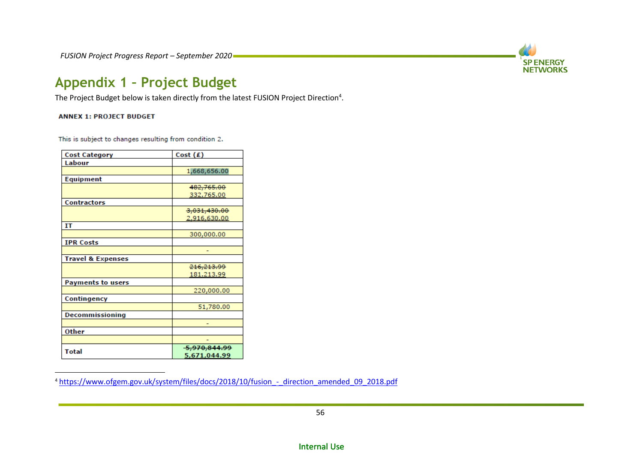

## **Appendix 1 – Project Budget**

The Project Budget below is taken directly from the latest FUSION Project Direction<sup>4</sup>.

#### **ANNEX 1: PROJECT BUDGET**

<span id="page-55-0"></span> $\overline{a}$ 

This is subject to changes resulting from condition 2.

| <b>Cost Category</b>         | Cost $(E)$   |
|------------------------------|--------------|
| Labour                       |              |
|                              | 1,668,656.00 |
| Equipment                    |              |
|                              | 482,765.00   |
|                              | 332.765.00   |
| Contractors                  |              |
|                              | 3,031,430.00 |
|                              | 2,916,630.00 |
| IT                           |              |
|                              | 300,000.00   |
| <b>IPR Costs</b>             |              |
|                              |              |
| <b>Travel &amp; Expenses</b> |              |
|                              | 216,213.99   |
|                              | 181.213.99   |
| <b>Payments to users</b>     |              |
|                              | 220,000.00   |
| Contingency                  |              |
|                              | 51,780.00    |
| <b>Decommissioning</b>       |              |
|                              |              |
| Other                        |              |
|                              |              |
| <b>Total</b>                 | 5,970,844.99 |
|                              | 5,671,044.99 |

<sup>&</sup>lt;sup>4</sup> [https://www.ofgem.gov.uk/system/files/docs/2018/10/fusion\\_-\\_direction\\_amended\\_09\\_2018.pdf](https://www.ofgem.gov.uk/system/files/docs/2018/10/fusion_-_direction_amended_09_2018.pdf)